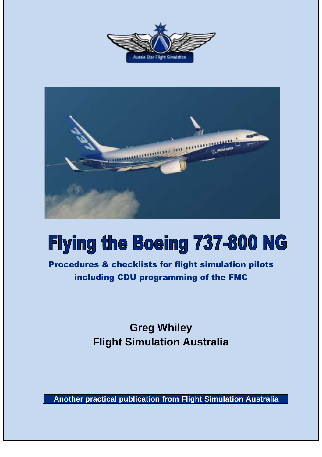



# **Flying the Boeing 737-800 NG**

Procedures & checklists for flight simulation pilots including CDU programming of the FMC

> **Greg Whiley Flight Simulation Australia**

**Another practical publication from Flight Simulation Australia**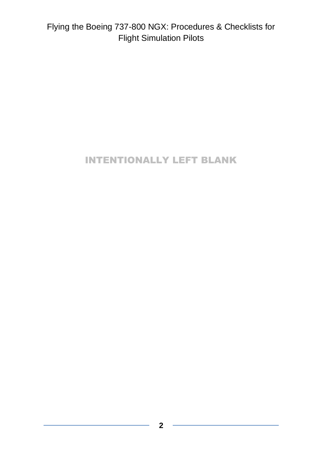## INTENTIONALLY LEFT BLANK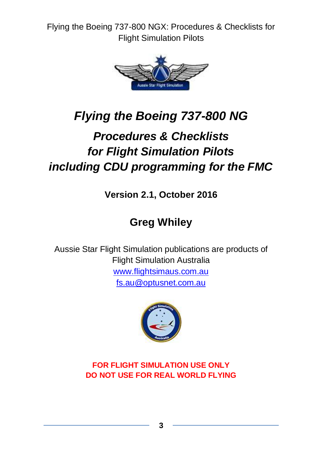

## *Flying the Boeing 737-800 NG*

## *Procedures & Checklists for Flight Simulation Pilots including CDU programming for the FMC*

**Version 2.1, October 2016**

## **Greg Whiley**

Aussie Star Flight Simulation publications are products of Flight Simulation Australia [www.flightsimaus.com.au](http://www.flightsimaus.com.au/) [fs.au@optusnet.com.au](mailto:fs.au@optusnet.com.au)



**FOR FLIGHT SIMULATION USE ONLY DO NOT USE FOR REAL WORLD FLYING**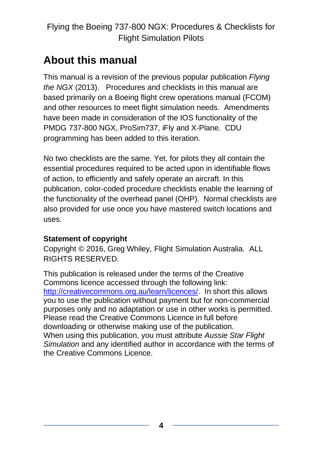## **About this manual**

This manual is a revision of the previous popular publication *Flying the NGX* (2013). Procedures and checklists in this manual are based primarily on a Boeing flight crew operations manual (FCOM) and other resources to meet flight simulation needs. Amendments have been made in consideration of the IOS functionality of the PMDG 737-800 NGX, ProSim737, iFly and X-Plane. CDU programming has been added to this iteration.

No two checklists are the same. Yet, for pilots they all contain the essential procedures required to be acted upon in identifiable flows of action, to efficiently and safely operate an aircraft. In this publication, color-coded procedure checklists enable the learning of the functionality of the overhead panel (OHP). Normal checklists are also provided for use once you have mastered switch locations and uses.

#### **Statement of copyright**

Copyright © 2016, Greg Whiley, Flight Simulation Australia. ALL RIGHTS RESERVED.

This publication is released under the terms of the Creative Commons licence accessed through the following link: [http://creativecommons.org.au/learn/licences/.](http://creativecommons.org.au/learn/licences/) In short this allows you to use the publication without payment but for non-commercial purposes only and no adaptation or use in other works is permitted. Please read the Creative Commons Licence in full before downloading or otherwise making use of the publication. When using this publication, you must attribute *Aussie Star Flight Simulation* and any identified author in accordance with the terms of the Creative Commons Licence.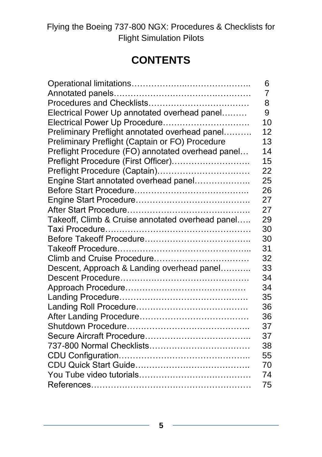## **CONTENTS**

|                                                   | 6  |
|---------------------------------------------------|----|
|                                                   | 7  |
|                                                   | 8  |
| Electrical Power Up annotated overhead panel      | 9  |
| Electrical Power Up Procedure                     | 10 |
| Preliminary Preflight annotated overhead panel    | 12 |
| Preliminary Preflight (Captain or FO) Procedure   | 13 |
| Preflight Procedure (FO) annotated overhead panel | 14 |
| Preflight Procedure (First Officer)               | 15 |
| Preflight Procedure (Captain)                     | 22 |
| Engine Start annotated overhead panel             | 25 |
|                                                   | 26 |
|                                                   | 27 |
|                                                   | 27 |
| Takeoff, Climb & Cruise annotated overhead panel  | 29 |
|                                                   | 30 |
|                                                   | 30 |
|                                                   | 31 |
|                                                   | 32 |
| Descent, Approach & Landing overhead panel        | 33 |
|                                                   | 34 |
|                                                   | 34 |
|                                                   | 35 |
|                                                   | 36 |
|                                                   | 36 |
|                                                   | 37 |
|                                                   | 37 |
|                                                   | 38 |
|                                                   | 55 |
|                                                   | 70 |
|                                                   | 74 |
|                                                   | 75 |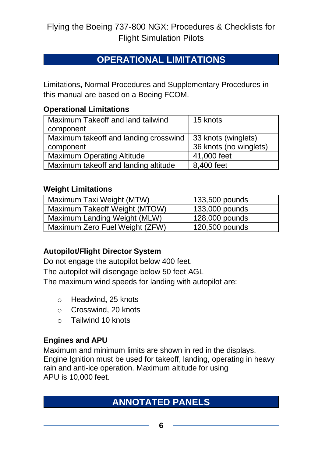## **OPERATIONAL LIMITATIONS**

Limitations**,** Normal Procedures and Supplementary Procedures in this manual are based on a Boeing FCOM.

#### **Operational Limitations**

| Maximum Takeoff and land tailwind     | 15 knots               |
|---------------------------------------|------------------------|
| component                             |                        |
| Maximum takeoff and landing crosswind | 33 knots (winglets)    |
| component                             | 36 knots (no winglets) |
| Maximum Operating Altitude            | 41,000 feet            |
| Maximum takeoff and landing altitude  | 8,400 feet             |

#### **Weight Limitations**

| Maximum Taxi Weight (MTW)      | 133,500 pounds |
|--------------------------------|----------------|
| Maximum Takeoff Weight (MTOW)  | 133,000 pounds |
| Maximum Landing Weight (MLW)   | 128,000 pounds |
| Maximum Zero Fuel Weight (ZFW) | 120,500 pounds |

#### **Autopilot/Flight Director System**

Do not engage the autopilot below 400 feet.

The autopilot will disengage below 50 feet AGL

The maximum wind speeds for landing with autopilot are:

- o Headwind**,** 25 knots
- o Crosswind, 20 knots
- o Tailwind 10 knots

#### **Engines and APU**

Maximum and minimum limits are shown in red in the displays. Engine Ignition must be used for takeoff, landing, operating in heavy rain and anti-ice operation. Maximum altitude for using APU is 10,000 feet.

## **ANNOTATED PANELS**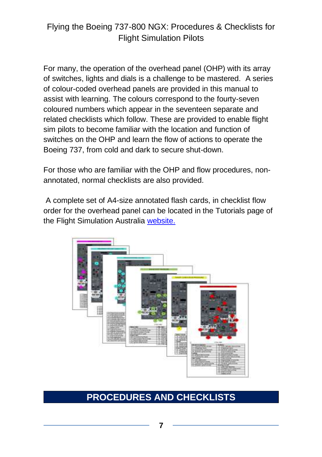For many, the operation of the overhead panel (OHP) with its array of switches, lights and dials is a challenge to be mastered. A series of colour-coded overhead panels are provided in this manual to assist with learning. The colours correspond to the fourty-seven coloured numbers which appear in the seventeen separate and related checklists which follow. These are provided to enable flight sim pilots to become familiar with the location and function of switches on the OHP and learn the flow of actions to operate the Boeing 737, from cold and dark to secure shut-down.

For those who are familiar with the OHP and flow procedures, nonannotated, normal checklists are also provided.

A complete set of A4-size annotated flash cards, in checklist flow order for the overhead panel can be located in the Tutorials page of the Flight Simulation Australia [website.](http://www.flightsimaus.com.au/) 



## **PROCEDURES AND CHECKLISTS**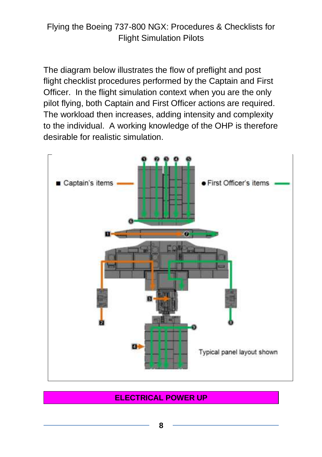The diagram below illustrates the flow of preflight and post flight checklist procedures performed by the Captain and First Officer. In the flight simulation context when you are the only pilot flying, both Captain and First Officer actions are required. The workload then increases, adding intensity and complexity to the individual. A working knowledge of the OHP is therefore desirable for realistic simulation.



#### **ELECTRICAL POWER UP**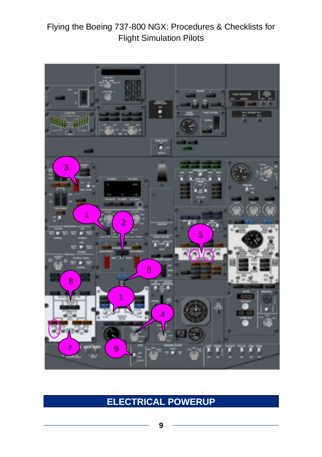

## **ELECTRICAL POWERUP**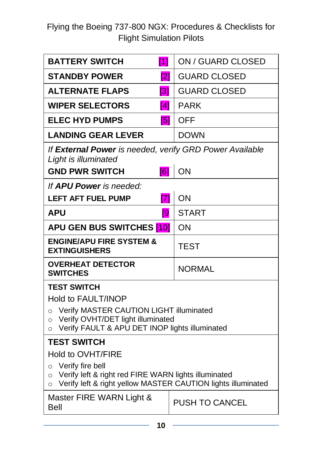| <b>BATTERY SWITCH</b><br>$\mathsf{H}$                                                                                                                                     | ON / GUARD CLOSED     |  |
|---------------------------------------------------------------------------------------------------------------------------------------------------------------------------|-----------------------|--|
| <b>STANDBY POWER</b><br>$\overline{2}$                                                                                                                                    | <b>GUARD CLOSED</b>   |  |
| $\overline{131}$<br><b>ALTERNATE FLAPS</b>                                                                                                                                | <b>GUARD CLOSED</b>   |  |
| <b>WIPER SELECTORS</b><br>$\overline{[4]}$                                                                                                                                | <b>PARK</b>           |  |
| $\overline{5}$<br><b>ELEC HYD PUMPS</b>                                                                                                                                   | <b>OFF</b>            |  |
| <b>LANDING GEAR LEVER</b>                                                                                                                                                 | <b>DOWN</b>           |  |
| If External Power is needed, verify GRD Power Available<br>Light is illuminated                                                                                           |                       |  |
| $\overline{161}$<br><b>GND PWR SWITCH</b>                                                                                                                                 | ON                    |  |
| If <b>APU Power</b> is needed:                                                                                                                                            |                       |  |
| <b>LEFT AFT FUEL PUMP</b>                                                                                                                                                 | $\overline{[7]}$ ON   |  |
| <b>APU</b><br>[9                                                                                                                                                          | <b>START</b>          |  |
| <b>APU GEN BUS SWITCHES [10]</b>                                                                                                                                          | <b>ON</b>             |  |
| <b>ENGINE/APU FIRE SYSTEM &amp;</b><br><b>EXTINGUISHERS</b>                                                                                                               | <b>TEST</b>           |  |
| <b>OVERHEAT DETECTOR</b><br><b>SWITCHES</b>                                                                                                                               | <b>NORMAL</b>         |  |
| <b>TEST SWITCH</b>                                                                                                                                                        |                       |  |
| Hold to FAULT/INOP                                                                                                                                                        |                       |  |
| Verify MASTER CAUTION LIGHT illuminated<br>$\circ$<br>Verify OVHT/DET light illuminated<br>$\circ$<br>Verify FAULT & APU DET INOP lights illuminated<br>$\circ$           |                       |  |
| <b>TEST SWITCH</b>                                                                                                                                                        |                       |  |
| Hold to OVHT/FIRE                                                                                                                                                         |                       |  |
| Verify fire bell<br>$\circ$<br>Verify left & right red FIRE WARN lights illuminated<br>$\circ$<br>Verify left & right yellow MASTER CAUTION lights illuminated<br>$\circ$ |                       |  |
| Master FIRE WARN Light &<br><b>Bell</b>                                                                                                                                   | <b>PUSH TO CANCEL</b> |  |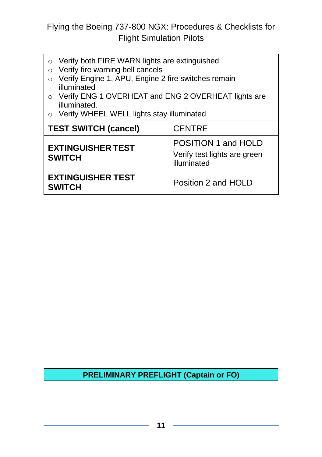- o Verify both FIRE WARN lights are extinguished
- o Verify fire warning bell cancels
- o Verify Engine 1, APU, Engine 2 fire switches remain illuminated
- o Verify ENG 1 OVERHEAT and ENG 2 OVERHEAT lights are illuminated.
- o Verify WHEEL WELL lights stay illuminated

| <b>TEST SWITCH (cancel)</b>               | <b>CENTRE</b>                                                      |
|-------------------------------------------|--------------------------------------------------------------------|
| <b>EXTINGUISHER TEST</b><br><b>SWITCH</b> | POSITION 1 and HOLD<br>Verify test lights are green<br>illuminated |
| <b>EXTINGUISHER TEST</b><br><b>SWITCH</b> | Position 2 and HOLD                                                |

#### **PRELIMINARY PREFLIGHT (Captain or FO)**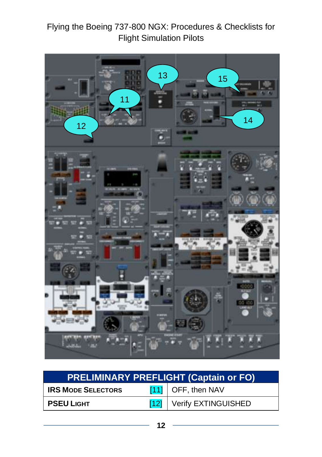

| <b>PRELIMINARY PREFLIGHT (Captain or FO)</b> |  |                            |
|----------------------------------------------|--|----------------------------|
| <b>IRS MODE SELECTORS</b>                    |  | $\boxed{11}$ OFF, then NAV |
| <b>PSEU LIGHT</b>                            |  | [12] Verify EXTINGUISHED   |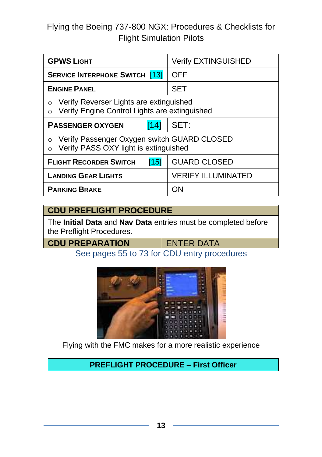| <b>GPWS LIGHT</b>                                                                                                | <b>Verify EXTINGUISHED</b> |  |
|------------------------------------------------------------------------------------------------------------------|----------------------------|--|
| <b>SERVICE INTERPHONE SWITCH [13]</b>                                                                            | OFF                        |  |
| <b>ENGINE PANEL</b>                                                                                              | SET                        |  |
| Verify Reverser Lights are extinguished<br>$\Omega$<br>Verify Engine Control Lights are extinguished<br>$\Omega$ |                            |  |
| $[14]$<br><b>PASSENGER OXYGEN</b>                                                                                | SET:                       |  |
| Verify Passenger Oxygen switch GUARD CLOSED<br>Ω<br>Verify PASS OXY light is extinguished<br>$\Omega$            |                            |  |
| <b>FLIGHT RECORDER SWITCH</b><br>[15]                                                                            | <b>GUARD CLOSED</b>        |  |
| <b>LANDING GEAR LIGHTS</b>                                                                                       | <b>VERIFY ILLUMINATED</b>  |  |
| <b>PARKING BRAKE</b>                                                                                             | ON                         |  |

#### **CDU PREFLIGHT PROCEDURE**

The **Initial Data** and **Nav Data** entries must be completed before the Preflight Procedures.

**CDU PREPARATION ENTER DATA** 

See pages 55 to 73 for CDU entry procedures



Flying with the FMC makes for a more realistic experience

**PREFLIGHT PROCEDURE – First Officer**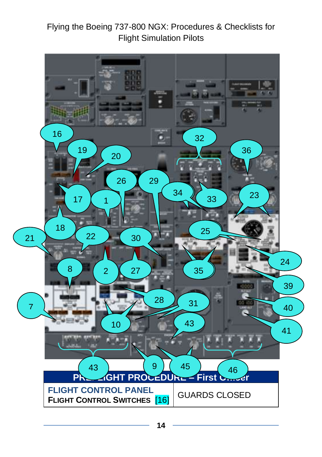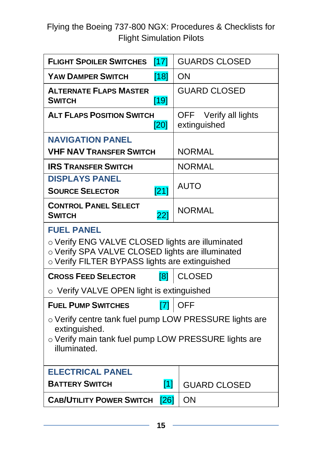| <b>FLIGHT SPOILER SWITCHES</b><br>$[17]$                                                                                                                                    | <b>GUARDS CLOSED</b>                  |  |
|-----------------------------------------------------------------------------------------------------------------------------------------------------------------------------|---------------------------------------|--|
| [18]<br><b>YAW DAMPER SWITCH</b>                                                                                                                                            | ON                                    |  |
| <b>ALTERNATE FLAPS MASTER</b><br>[19]<br><b>SWITCH</b>                                                                                                                      | <b>GUARD CLOSED</b>                   |  |
| <b>ALT FLAPS POSITION SWITCH</b><br>[20]                                                                                                                                    | OFF Verify all lights<br>extinguished |  |
| <b>NAVIGATION PANEL</b>                                                                                                                                                     |                                       |  |
| <b>VHF NAV TRANSFER SWITCH</b>                                                                                                                                              | <b>NORMAL</b>                         |  |
| <b>IRS TRANSFER SWITCH</b>                                                                                                                                                  | <b>NORMAL</b>                         |  |
| <b>DISPLAYS PANEL</b><br>[21]<br><b>SOURCE SELECTOR</b>                                                                                                                     | <b>AUTO</b>                           |  |
| <b>CONTROL PANEL SELECT</b><br>22]<br><b>SWITCH</b>                                                                                                                         | <b>NORMAL</b>                         |  |
| <b>FUEL PANEL</b><br>o Verify ENG VALVE CLOSED lights are illuminated<br>o Verify SPA VALVE CLOSED lights are illuminated<br>o Verify FILTER BYPASS lights are extinguished |                                       |  |
| <b>CROSS FEED SELECTOR</b><br>[8]                                                                                                                                           | CLOSED                                |  |
| o Verify VALVE OPEN light is extinguished                                                                                                                                   |                                       |  |
| <b>FUEL PUMP SWITCHES</b>                                                                                                                                                   | $[7]$ OFF                             |  |
| o Verify centre tank fuel pump LOW PRESSURE lights are<br>extinguished.<br>o Verify main tank fuel pump LOW PRESSURE lights are<br>illuminated.                             |                                       |  |
| <b>ELECTRICAL PANEL</b>                                                                                                                                                     |                                       |  |
| $[1]$<br><b>BATTERY SWITCH</b>                                                                                                                                              | <b>GUARD CLOSED</b>                   |  |
| <b>CAB/UTILITY POWER SWITCH</b><br>[26]                                                                                                                                     | ON                                    |  |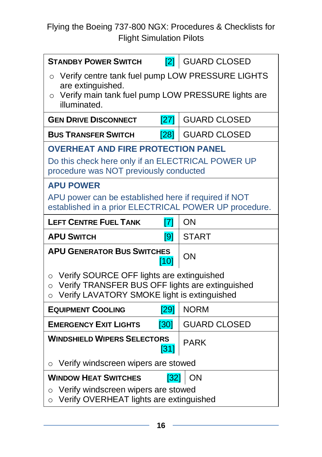| <b>STANDBY POWER SWITCH</b>                                                                                                                                                  | [2] GUARD CLOSED    |  |
|------------------------------------------------------------------------------------------------------------------------------------------------------------------------------|---------------------|--|
| Verify centre tank fuel pump LOW PRESSURE LIGHTS<br>$\circ$<br>are extinguished.<br>Verify main tank fuel pump LOW PRESSURE lights are<br>$\circ$<br>illuminated.            |                     |  |
| [27]<br><b>GEN DRIVE DISCONNECT</b>                                                                                                                                          | <b>GUARD CLOSED</b> |  |
| <b>BUS TRANSFER SWITCH</b><br>[28]                                                                                                                                           | <b>GUARD CLOSED</b> |  |
| <b>OVERHEAT AND FIRE PROTECTION PANEL</b><br>Do this check here only if an ELECTRICAL POWER UP<br>procedure was NOT previously conducted                                     |                     |  |
| <b>APU POWER</b><br>APU power can be established here if required if NOT<br>established in a prior ELECTRICAL POWER UP procedure.                                            |                     |  |
| <b>LEFT CENTRE FUEL TANK</b><br>$\overline{17}$                                                                                                                              | ON                  |  |
|                                                                                                                                                                              |                     |  |
| <b>APU SWITCH</b><br> 9                                                                                                                                                      | <b>START</b>        |  |
| <b>APU GENERATOR BUS SWITCHES</b><br>[10]                                                                                                                                    | ΟN                  |  |
| Verify SOURCE OFF lights are extinguished<br>$\circ$<br>Verify TRANSFER BUS OFF lights are extinguished<br>$\circ$<br>Verify LAVATORY SMOKE light is extinguished<br>$\circ$ |                     |  |
| <b>EQUIPMENT COOLING</b><br>[29]                                                                                                                                             | <b>NORM</b>         |  |
| [30]<br><b>EMERGENCY EXIT LIGHTS</b>                                                                                                                                         | <b>GUARD CLOSED</b> |  |
| <b>WINDSHIELD WIPERS SELECTORS</b><br>[31]                                                                                                                                   | <b>PARK</b>         |  |
| Verify windscreen wipers are stowed<br>$\circ$                                                                                                                               |                     |  |
| <b>WINDOW HEAT SWITCHES</b><br>$\sqrt{32}$                                                                                                                                   | ON                  |  |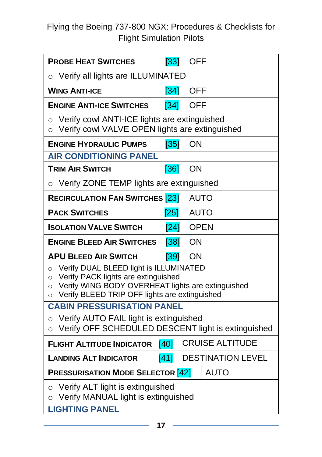| <b>PROBE HEAT SWITCHES</b>                                                                                           | [33] | <b>OFF</b>               |
|----------------------------------------------------------------------------------------------------------------------|------|--------------------------|
| Verify all lights are ILLUMINATED<br>$\circ$                                                                         |      |                          |
| <b>WING ANTI-ICE</b>                                                                                                 | [34] | <b>OFF</b>               |
| <b>ENGINE ANTI-ICE SWITCHES</b>                                                                                      | [34] | <b>OFF</b>               |
| Verify cowl ANTI-ICE lights are extinguished<br>$\circ$<br>Verify cowl VALVE OPEN lights are extinguished<br>$\circ$ |      |                          |
| <b>ENGINE HYDRAULIC PUMPS</b>                                                                                        | [35] | ON                       |
| <b>AIR CONDITIONING PANEL</b>                                                                                        |      |                          |
| <b>TRIM AIR SWITCH</b>                                                                                               | [36] | ON                       |
| Verify ZONE TEMP lights are extinguished<br>$\circ$                                                                  |      |                          |
| <b>RECIRCULATION FAN SWITCHES</b> [23]                                                                               |      | <b>AUTO</b>              |
| <b>PACK SWITCHES</b>                                                                                                 | [25] | <b>AUTO</b>              |
| <b>ISOLATION VALVE SWITCH</b>                                                                                        | [24] | <b>OPEN</b>              |
| <b>ENGINE BLEED AIR SWITCHES</b>                                                                                     | [38] | ON                       |
| <b>APU BLEED AIR SWITCH</b>                                                                                          | [39] | ON                       |
| Verify DUAL BLEED light is ILLUMINATED<br>$\circ$                                                                    |      |                          |
| Verify PACK lights are extinguished<br>$\circ$<br>Verify WING BODY OVERHEAT lights are extinguished<br>$\circ$       |      |                          |
| Verify BLEED TRIP OFF lights are extinguished<br>$\circ$                                                             |      |                          |
| <b>CABIN PRESSURISATION PANEL</b>                                                                                    |      |                          |
| Verify AUTO FAIL light is extinguished<br>$\circ$<br>Verify OFF SCHEDULED DESCENT light is extinguished<br>$\circ$   |      |                          |
| <b>FLIGHT ALTITUDE INDICATOR</b>                                                                                     | [40] | <b>CRUISE ALTITUDE</b>   |
| <b>LANDING ALT INDICATOR</b>                                                                                         | [41] | <b>DESTINATION LEVEL</b> |
| <b>AUTO</b><br><b>PRESSURISATION MODE SELECTOR [42]</b>                                                              |      |                          |
| Verify ALT light is extinguished<br>$\circ$                                                                          |      |                          |
| Verify MANUAL light is extinguished<br>$\circ$<br><b>LIGHTING PANEL</b>                                              |      |                          |
|                                                                                                                      |      |                          |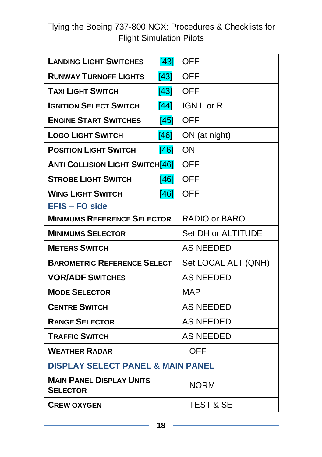| <b>LANDING LIGHT SWITCHES</b>                      | [43] | <b>OFF</b>            |
|----------------------------------------------------|------|-----------------------|
| <b>RUNWAY TURNOFF LIGHTS</b>                       | [43] | <b>OFF</b>            |
| <b>TAXI LIGHT SWITCH</b>                           | [43] | <b>OFF</b>            |
| <b>IGNITION SELECT SWITCH</b>                      | [44] | <b>IGN L or R</b>     |
| <b>ENGINE START SWITCHES</b>                       | [45] | <b>OFF</b>            |
| <b>LOGO LIGHT SWITCH</b>                           | [46] | ON (at night)         |
| <b>POSITION LIGHT SWITCH</b>                       | [46] | <b>ON</b>             |
| <b>ANTI COLLISION LIGHT SWITCH[46]</b>             |      | <b>OFF</b>            |
| <b>STROBE LIGHT SWITCH</b>                         | [46] | OFF                   |
| <b>WING LIGHT SWITCH</b>                           | [46] | OFF                   |
| <b>EFIS - FO side</b>                              |      |                       |
| <b>MINIMUMS REFERENCE SELECTOR</b>                 |      | <b>RADIO or BARO</b>  |
| <b>MINIMUMS SELECTOR</b>                           |      | Set DH or ALTITUDE    |
| <b>METERS SWITCH</b>                               |      | <b>AS NEEDED</b>      |
| <b>BAROMETRIC REFERENCE SELECT</b>                 |      | Set LOCAL ALT (QNH)   |
| <b>VOR/ADF SWITCHES</b>                            |      | <b>AS NEEDED</b>      |
| <b>MODE SELECTOR</b>                               |      | <b>MAP</b>            |
| <b>CENTRE SWITCH</b>                               |      | <b>AS NEEDED</b>      |
| <b>RANGE SELECTOR</b>                              |      | <b>AS NEEDED</b>      |
| <b>TRAFFIC SWITCH</b>                              |      | <b>AS NEEDED</b>      |
| <b>WEATHER RADAR</b>                               |      | <b>OFF</b>            |
| <b>DISPLAY SELECT PANEL &amp; MAIN PANEL</b>       |      |                       |
| <b>MAIN PANEL DISPLAY UNITS</b><br><b>SELECTOR</b> |      | <b>NORM</b>           |
| <b>CREW OXYGEN</b>                                 |      | <b>TEST &amp; SET</b> |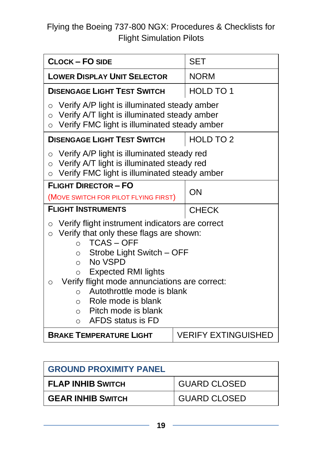| <b>CLOCK-FO SIDE</b>                                                                                                                                                                                                                                                                                                                                                                                                                        | <b>SET</b>          |  |
|---------------------------------------------------------------------------------------------------------------------------------------------------------------------------------------------------------------------------------------------------------------------------------------------------------------------------------------------------------------------------------------------------------------------------------------------|---------------------|--|
| LOWER DISPI AY UNIT SEI FCTOR                                                                                                                                                                                                                                                                                                                                                                                                               | <b>NORM</b>         |  |
| <b>DISENGAGE LIGHT TEST SWITCH</b>                                                                                                                                                                                                                                                                                                                                                                                                          | <b>HOLD TO 1</b>    |  |
| Verify A/P light is illuminated steady amber<br>O<br>Verify A/T light is illuminated steady amber<br>$\circ$<br>Verify FMC light is illuminated steady amber<br>$\circ$                                                                                                                                                                                                                                                                     |                     |  |
| <b>DISENGAGE LIGHT TEST SWITCH</b>                                                                                                                                                                                                                                                                                                                                                                                                          | HOLD TO 2           |  |
| Verify A/P light is illuminated steady red<br>O<br>Verify A/T light is illuminated steady red<br>$\circ$<br>Verify FMC light is illuminated steady amber<br>$\circ$                                                                                                                                                                                                                                                                         |                     |  |
| <b>FLIGHT DIRECTOR - FO</b><br>(MOVE SWITCH FOR PILOT FLYING FIRST)                                                                                                                                                                                                                                                                                                                                                                         | ON                  |  |
| <b>FLIGHT INSTRUMENTS</b>                                                                                                                                                                                                                                                                                                                                                                                                                   | <b>CHECK</b>        |  |
| Verify flight instrument indicators are correct<br>O<br>Verify that only these flags are shown:<br>$\circ$<br><b>TCAS-OFF</b><br>$\circ$<br>Strobe Light Switch - OFF<br>$\circ$<br>No VSPD<br>$\circ$<br><b>Expected RMI lights</b><br>$\circ$<br>Verify flight mode annunciations are correct:<br>O<br>Autothrottle mode is blank<br>$\bigcirc$<br>Role mode is blank<br>O<br>$\circ$ Pitch mode is blank<br>AFDS status is FD<br>$\circ$ |                     |  |
| <b>BRAKE TEMPERATURE LIGHT</b>                                                                                                                                                                                                                                                                                                                                                                                                              | VERIFY EXTINGUISHED |  |

| <b>GROUND PROXIMITY PANEL</b> |                     |  |
|-------------------------------|---------------------|--|
| <b>FLAP INHIB SWITCH</b>      | <b>GUARD CLOSED</b> |  |
| <b>GEAR INHIB SWITCH</b>      | <b>GUARD CLOSED</b> |  |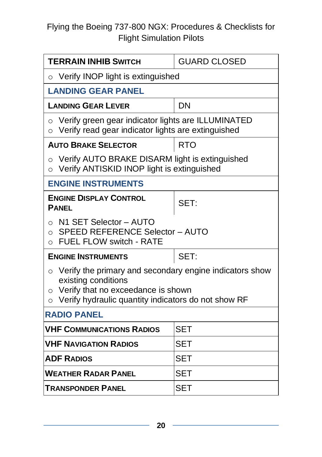| <b>TERRAIN INHIB SWITCH</b>                                                                                                                                                                                  | <b>GUARD CLOSED</b> |  |
|--------------------------------------------------------------------------------------------------------------------------------------------------------------------------------------------------------------|---------------------|--|
| Verify INOP light is extinguished<br>$\circ$                                                                                                                                                                 |                     |  |
| <b>LANDING GEAR PANEL</b>                                                                                                                                                                                    |                     |  |
| <b>LANDING GEAR LEVER</b>                                                                                                                                                                                    | DN                  |  |
| Verify green gear indicator lights are ILLUMINATED<br>$\circ$<br>Verify read gear indicator lights are extinguished<br>$\circ$                                                                               |                     |  |
| <b>AUTO BRAKE SELECTOR</b>                                                                                                                                                                                   | <b>RTO</b>          |  |
| Verify AUTO BRAKE DISARM light is extinguished<br>$\circ$<br>Verify ANTISKID INOP light is extinguished<br>$\circ$                                                                                           |                     |  |
| <b>ENGINE INSTRUMENTS</b>                                                                                                                                                                                    |                     |  |
| <b>ENGINE DISPLAY CONTROL</b><br><b>PANEL</b>                                                                                                                                                                | SET:                |  |
| N1 SET Selector - AUTO<br>$\bigcap$<br>SPEED REFERENCE Selector - AUTO<br>$\bigcirc$<br><b>FUEL FLOW switch - RATE</b><br>$\circ$                                                                            |                     |  |
| <b>ENGINE INSTRUMENTS</b>                                                                                                                                                                                    | SET:                |  |
| Verify the primary and secondary engine indicators show<br>$\circ$<br>existing conditions<br>Verify that no exceedance is shown<br>$\circ$<br>Verify hydraulic quantity indicators do not show RF<br>$\circ$ |                     |  |
| <b>RADIO PANEL</b>                                                                                                                                                                                           |                     |  |
| <b>VHF COMMUNICATIONS RADIOS</b>                                                                                                                                                                             | <b>SET</b>          |  |
| <b>VHF NAVIGATION RADIOS</b>                                                                                                                                                                                 | <b>SET</b>          |  |
| <b>ADF RADIOS</b>                                                                                                                                                                                            | <b>SET</b>          |  |
| <b>WEATHER RADAR PANEL</b>                                                                                                                                                                                   | <b>SET</b>          |  |
| <b>TRANSPONDER PANEL</b>                                                                                                                                                                                     | <b>SET</b>          |  |

**20**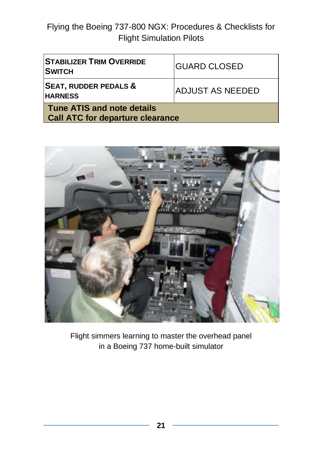| <b>STABILIZER TRIM OVERRIDE</b><br><b>SWITCH</b>                      | GUARD CLOSED      |
|-----------------------------------------------------------------------|-------------------|
| <b>SEAT, RUDDER PEDALS &amp;</b><br><b>HARNESS</b>                    | IADJUST AS NEEDED |
| Tune ATIS and note details<br><b>Call ATC for departure clearance</b> |                   |



Flight simmers learning to master the overhead panel in a Boeing 737 home-built simulator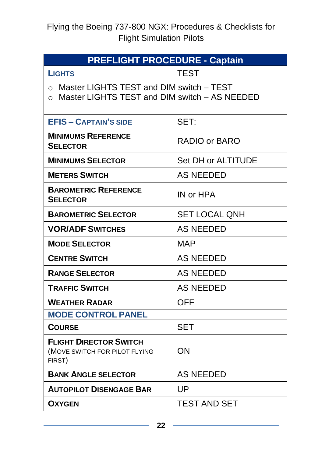| <b>PREFLIGHT PROCEDURE - Captain</b>                                                                          |                      |  |
|---------------------------------------------------------------------------------------------------------------|----------------------|--|
| <b>LIGHTS</b>                                                                                                 | <b>TEST</b>          |  |
| $\circ$ Master LIGHTS TEST and DIM switch $-$ TEST<br>$\circ$ Master LIGHTS TEST and DIM switch $-$ AS NEEDED |                      |  |
| <b>EFIS - CAPTAIN'S SIDE</b>                                                                                  | SET:                 |  |
| <b>MINIMUMS REFERENCE</b><br><b>SELECTOR</b>                                                                  | RADIO or BARO        |  |
| <b>MINIMUMS SELECTOR</b>                                                                                      | Set DH or ALTITUDE   |  |
| <b>METERS SWITCH</b>                                                                                          | <b>AS NEEDED</b>     |  |
| <b>BAROMETRIC REFERENCE</b><br><b>SELECTOR</b>                                                                | IN or HPA            |  |
| <b>BAROMETRIC SELECTOR</b>                                                                                    | <b>SET LOCAL QNH</b> |  |
| <b>VOR/ADF SWITCHES</b>                                                                                       | <b>AS NEEDED</b>     |  |
| <b>MODE SELECTOR</b>                                                                                          | <b>MAP</b>           |  |
| <b>CENTRE SWITCH</b>                                                                                          | <b>AS NEEDED</b>     |  |
| <b>RANGE SELECTOR</b>                                                                                         | <b>AS NEEDED</b>     |  |
| <b>TRAFFIC SWITCH</b>                                                                                         | <b>AS NEEDED</b>     |  |
| <b>WEATHER RADAR</b>                                                                                          | OFF                  |  |
| <b>MODE CONTROL PANEL</b>                                                                                     |                      |  |
| <b>COURSE</b>                                                                                                 | <b>SET</b>           |  |
| <b>FLIGHT DIRECTOR SWITCH</b><br>(MOVE SWITCH FOR PILOT FLYING<br>FIRST)                                      | ON                   |  |
| <b>BANK ANGLE SELECTOR</b>                                                                                    | <b>AS NEEDED</b>     |  |
| <b>AUTOPILOT DISENGAGE BAR</b>                                                                                | UP                   |  |
| <b>OXYGEN</b>                                                                                                 | <b>TEST AND SET</b>  |  |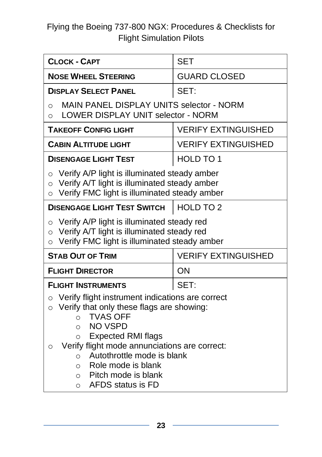| <b>CLOCK - CAPT</b>                                                                                                                                                                                                                                                                                                                                                                                                        | <b>SET</b>                 |  |
|----------------------------------------------------------------------------------------------------------------------------------------------------------------------------------------------------------------------------------------------------------------------------------------------------------------------------------------------------------------------------------------------------------------------------|----------------------------|--|
| <b>NOSE WHEEL STEERING</b>                                                                                                                                                                                                                                                                                                                                                                                                 | <b>GUARD CLOSED</b>        |  |
| <b>DISPLAY SELECT PANEL</b>                                                                                                                                                                                                                                                                                                                                                                                                | SET:                       |  |
| <b>MAIN PANEL DISPLAY UNITS selector - NORM</b><br>O<br><b>LOWER DISPLAY UNIT selector - NORM</b><br>$\circ$                                                                                                                                                                                                                                                                                                               |                            |  |
| <b>TAKEOFF CONFIG LIGHT</b>                                                                                                                                                                                                                                                                                                                                                                                                | <b>VERIFY EXTINGUISHED</b> |  |
| <b>CABIN ALTITUDE LIGHT</b>                                                                                                                                                                                                                                                                                                                                                                                                | <b>VERIFY EXTINGUISHED</b> |  |
| <b>DISENGAGE LIGHT TEST</b>                                                                                                                                                                                                                                                                                                                                                                                                | HOLD TO 1                  |  |
| Verify A/P light is illuminated steady amber<br>O<br>Verify A/T light is illuminated steady amber<br>$\circ$<br>Verify FMC light is illuminated steady amber<br>$\circ$                                                                                                                                                                                                                                                    |                            |  |
| <b>DISENGAGE LIGHT TEST SWITCH</b><br>HOLD TO 2                                                                                                                                                                                                                                                                                                                                                                            |                            |  |
| Verify A/P light is illuminated steady red<br>O<br>Verify A/T light is illuminated steady red<br>$\circ$<br>Verify FMC light is illuminated steady amber<br>$\circ$                                                                                                                                                                                                                                                        |                            |  |
| <b>STAB OUT OF TRIM</b>                                                                                                                                                                                                                                                                                                                                                                                                    | <b>VERIFY EXTINGUISHED</b> |  |
| <b>FLIGHT DIRECTOR</b>                                                                                                                                                                                                                                                                                                                                                                                                     | ON                         |  |
| <b>FLIGHT INSTRUMENTS</b>                                                                                                                                                                                                                                                                                                                                                                                                  | SET:                       |  |
| Verify flight instrument indications are correct<br>$\Omega$<br>Verify that only these flags are showing:<br>$\circ$<br><b>TVAS OFF</b><br>$\Omega$<br><b>NO VSPD</b><br>$\circ$<br><b>Expected RMI flags</b><br>$\circ$<br>Verify flight mode annunciations are correct:<br>O<br>Autothrottle mode is blank<br>$\circ$<br>Role mode is blank<br>$\circ$<br>Pitch mode is blank<br>$\circ$<br>AFDS status is FD<br>$\circ$ |                            |  |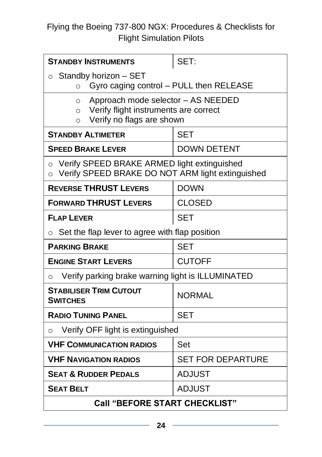| <b>STANDBY INSTRUMENTS</b>                                                                                                            | SET:                     |  |
|---------------------------------------------------------------------------------------------------------------------------------------|--------------------------|--|
| Standby horizon - SET<br>$\circ$<br>Gyro caging control - PULL then RELEASE                                                           |                          |  |
| Approach mode selector - AS NEEDED<br>O<br>Verify flight instruments are correct<br>$\Omega$<br>Verify no flags are shown<br>$\Omega$ |                          |  |
| <b>STANDBY ALTIMETER</b><br><b>SET</b>                                                                                                |                          |  |
| <b>SPEED BRAKE LEVER</b>                                                                                                              | <b>DOWN DETENT</b>       |  |
| Verify SPEED BRAKE ARMED light extinguished<br>$\circ$<br>Verify SPEED BRAKE DO NOT ARM light extinguished<br>$\circ$                 |                          |  |
| <b>REVERSE THRUST LEVERS</b>                                                                                                          | <b>DOWN</b>              |  |
| <b>FORWARD THRUST LEVERS</b>                                                                                                          | <b>CLOSED</b>            |  |
| <b>FLAP LEVER</b>                                                                                                                     | SET                      |  |
| Set the flap lever to agree with flap position<br>$\Omega$                                                                            |                          |  |
| <b>PARKING BRAKE</b>                                                                                                                  | <b>SET</b>               |  |
| <b>ENGINE START LEVERS</b>                                                                                                            | <b>CUTOFF</b>            |  |
| Verify parking brake warning light is ILLUMINATED<br>O                                                                                |                          |  |
| <b>STABILISER TRIM CUTOUT</b><br><b>SWITCHES</b>                                                                                      | <b>NORMAL</b>            |  |
| <b>RADIO TUNING PANEL</b>                                                                                                             | SET                      |  |
| Verify OFF light is extinguished<br>O                                                                                                 |                          |  |
| <b>VHF COMMUNICATION RADIOS</b>                                                                                                       | Set                      |  |
| <b>VHF NAVIGATION RADIOS</b>                                                                                                          | <b>SET FOR DEPARTURE</b> |  |
| <b>SEAT &amp; RUDDER PEDALS</b>                                                                                                       | <b>ADJUST</b>            |  |
| <b>SEAT BELT</b>                                                                                                                      | <b>ADJUST</b>            |  |
| <b>Call "BEFORE START CHECKLIST"</b>                                                                                                  |                          |  |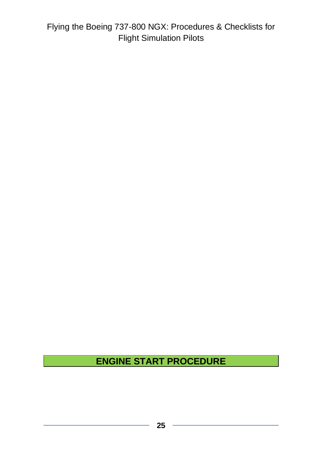**ENGINE START PROCEDURE**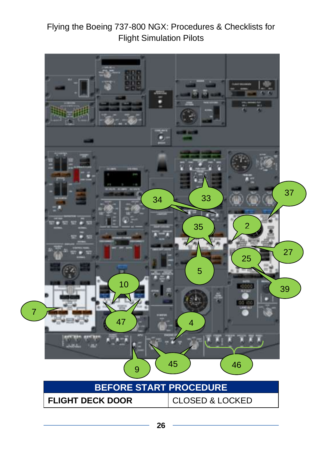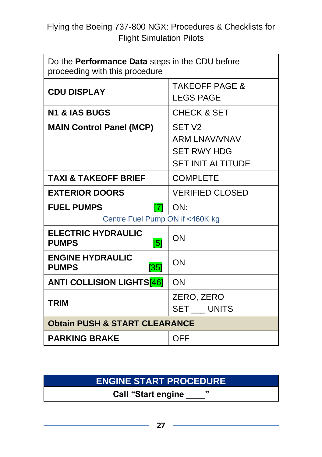| Do the Performance Data steps in the CDU before<br>proceeding with this procedure |                                                                                |  |
|-----------------------------------------------------------------------------------|--------------------------------------------------------------------------------|--|
| <b>CDU DISPLAY</b>                                                                | <b>TAKEOFF PAGE &amp;</b><br><b>LEGS PAGE</b>                                  |  |
| <b>N1 &amp; IAS BUGS</b>                                                          | <b>CHECK &amp; SET</b>                                                         |  |
| <b>MAIN Control Panel (MCP)</b>                                                   | SET <sub>V2</sub><br>ARM I NAV/VNAV<br><b>SET RWY HDG</b><br>SET INIT ALTITUDE |  |
| <b>TAXI &amp; TAKEOFF BRIEF</b>                                                   | <b>COMPLETE</b>                                                                |  |
| <b>EXTERIOR DOORS</b>                                                             | <b>VERIFIED CLOSED</b>                                                         |  |
| <b>FUEL PUMPS</b><br>$\mathsf{[7]}$<br>Centre Fuel Pump ON if <460K kg            | ON:                                                                            |  |
| <b>ELECTRIC HYDRAULIC</b><br>$\overline{5}$<br><b>PUMPS</b>                       | ON                                                                             |  |
| <b>ENGINE HYDRAULIC</b><br>[35]<br><b>PUMPS</b>                                   | ON                                                                             |  |
| <b>ANTI COLLISION LIGHTS[46]</b>                                                  | ON                                                                             |  |
| <b>TRIM</b>                                                                       | ZERO, ZERO<br>SET UNITS                                                        |  |
| <b>Obtain PUSH &amp; START CLEARANCE</b>                                          |                                                                                |  |
| <b>PARKING BRAKE</b>                                                              | OFF                                                                            |  |

## **ENGINE START PROCEDURE**

**Call "Start engine \_\_\_\_"**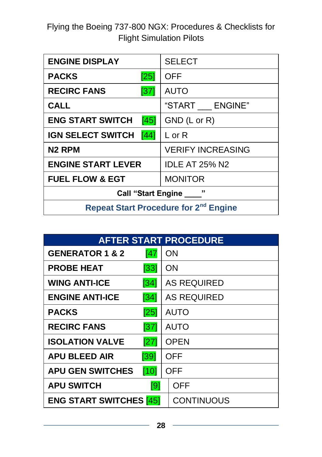| <b>ENGINE DISPLAY</b>                             | <b>SELECT</b>            |  |
|---------------------------------------------------|--------------------------|--|
| <b>PACKS</b><br>[25]                              | <b>OFF</b>               |  |
| <b>RECIRC FANS</b><br>[37]                        | <b>AUTO</b>              |  |
| <b>CALL</b>                                       | "START ENGINE"           |  |
| <b>ENG START SWITCH</b><br>[45]                   | GND (L or R)             |  |
| [44]<br><b>IGN SELECT SWITCH</b>                  | L or $R$                 |  |
| N <sub>2</sub> RPM                                | <b>VERIFY INCREASING</b> |  |
| <b>ENGINE START LEVER</b>                         | <b>IDLE AT 25% N2</b>    |  |
| <b>FUEL FLOW &amp; EGT</b>                        | <b>MONITOR</b>           |  |
| Call "Start Engine _____"                         |                          |  |
| Repeat Start Procedure for 2 <sup>nd</sup> Engine |                          |  |

| <b>AFTER START PROCEDURE</b>   |      |            |                    |
|--------------------------------|------|------------|--------------------|
| <b>GENERATOR 1 &amp; 2</b>     | [47] | ON         |                    |
| <b>PROBE HEAT</b>              | [33] | ON         |                    |
| <b>WING ANTI-ICE</b>           | [34] |            | <b>AS REQUIRED</b> |
| <b>ENGINE ANTI-ICE</b>         | [34] |            | <b>AS REQUIRED</b> |
| <b>PACKS</b>                   | [25] |            | <b>AUTO</b>        |
| <b>RECIRC FANS</b>             | [37] |            | <b>AUTO</b>        |
| <b>ISOLATION VALVE</b>         | [27] |            | <b>OPEN</b>        |
| <b>APU BLEED AIR</b>           | [39] | OFF        |                    |
| <b>APU GEN SWITCHES</b>        | [10] | <b>OFF</b> |                    |
| <b>APU SWITCH</b>              | [9]  |            | OFF                |
| <b>ENG START SWITCHES [45]</b> |      |            | <b>CONTINUOUS</b>  |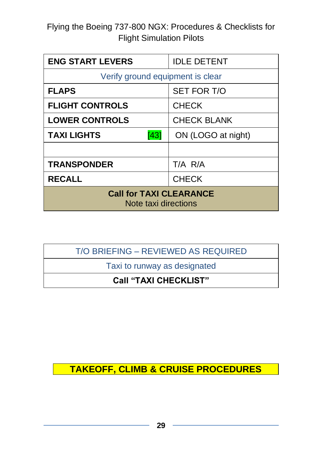| <b>ENG START LEVERS</b>                                | <b>IDLE DETENT</b> |  |
|--------------------------------------------------------|--------------------|--|
| Verify ground equipment is clear                       |                    |  |
| <b>FLAPS</b>                                           | <b>SET FOR T/O</b> |  |
| <b>FLIGHT CONTROLS</b>                                 | <b>CHECK</b>       |  |
| <b>LOWER CONTROLS</b>                                  | <b>CHECK BLANK</b> |  |
| [43]<br><b>TAXI LIGHTS</b>                             | ON (LOGO at night) |  |
|                                                        |                    |  |
| <b>TRANSPONDER</b>                                     | T/A R/A            |  |
| <b>RECALL</b>                                          | <b>CHECK</b>       |  |
| <b>Call for TAXI CLEARANCE</b><br>Note taxi directions |                    |  |

T/O BRIEFING – REVIEWED AS REQUIRED

Taxi to runway as designated

**Call "TAXI CHECKLIST"**

**TAKEOFF, CLIMB & CRUISE PROCEDURES**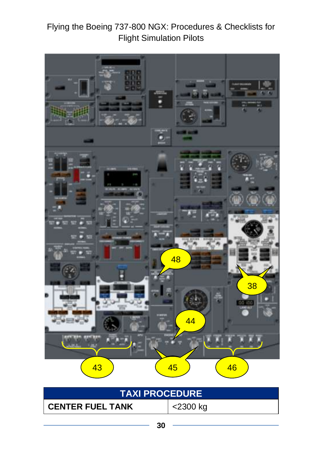

| <b>TAXI PROCEDURE</b>     |          |  |
|---------------------------|----------|--|
| <b>I CENTER FUEL TANK</b> | <2300 kg |  |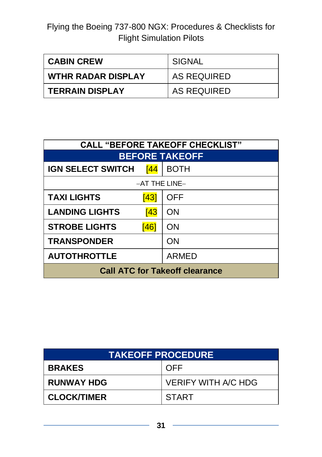| ∣ CABIN CREW              | SIGNAL             |
|---------------------------|--------------------|
| <b>WTHR RADAR DISPLAY</b> | <b>AS REQUIRED</b> |
| I TERRAIN DISPLAY         | AS REQUIRED        |

| <b>CALL "BEFORE TAKEOFF CHECKLIST"</b> |            |              |
|----------------------------------------|------------|--------------|
| <b>BEFORE TAKEOFF</b>                  |            |              |
| <b>IGN SELECT SWITCH</b>               | <u>[44</u> | <b>BOTH</b>  |
| $-AT$ THE LINE $-$                     |            |              |
| <b>TAXI LIGHTS</b>                     | [43]       | OFF          |
| <b>LANDING LIGHTS</b>                  | [43]       | ON           |
| <b>STROBE LIGHTS</b>                   | [46]       | ON           |
| <b>TRANSPONDER</b><br>ON               |            |              |
| <b>AUTOTHROTTLE</b>                    |            | <b>ARMED</b> |
| <b>Call ATC for Takeoff clearance</b>  |            |              |

| <b>TAKEOFF PROCEDURE</b> |                            |  |
|--------------------------|----------------------------|--|
| <b>BRAKES</b>            | <b>OFF</b>                 |  |
| <b>RUNWAY HDG</b>        | <b>VERIFY WITH A/C HDG</b> |  |
| <b>CLOCK/TIMER</b>       | I START                    |  |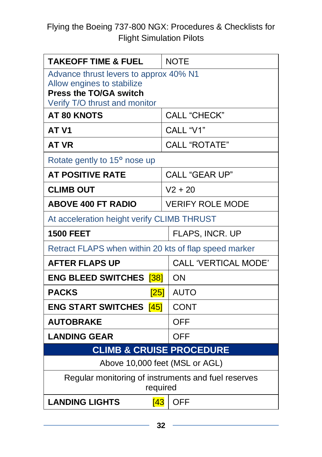| <b>TAKEOFF TIME &amp; FUEL</b>                                  | <b>NOTE</b>                         |  |
|-----------------------------------------------------------------|-------------------------------------|--|
| Advance thrust levers to approx 40% N1                          |                                     |  |
| Allow engines to stabilize<br><b>Press the TO/GA switch</b>     |                                     |  |
| Verify T/O thrust and monitor                                   |                                     |  |
| <b>AT 80 KNOTS</b>                                              | <b>CALL "CHECK"</b>                 |  |
| AT <sub>V1</sub>                                                | CALL "V1"                           |  |
| <b>AT VR</b>                                                    | <b>CALL "ROTATE"</b>                |  |
| Rotate gently to 15° nose up                                    |                                     |  |
| <b>AT POSITIVE RATE</b>                                         | <b>CALL "GEAR UP"</b>               |  |
| <b>CLIMB OUT</b>                                                | $V2 + 20$                           |  |
| <b>ABOVE 400 FT RADIO</b>                                       | <b>VERIFY ROLE MODE</b>             |  |
| At acceleration height verify CLIMB THRUST                      |                                     |  |
| <b>1500 FEET</b>                                                | FLAPS, INCR. UP                     |  |
| Retract FLAPS when within 20 kts of flap speed marker           |                                     |  |
| <b>AFTER FLAPS UP</b>                                           | <b>CALL 'VERTICAL MODE'</b>         |  |
| <b>ENG BLEED SWITCHES [38]</b>                                  | <b>ON</b>                           |  |
| <b>PACKS</b><br>[25]                                            | <b>AUTO</b>                         |  |
| <b>ENG START SWITCHES</b> [45]                                  | <b>CONT</b>                         |  |
| <b>AUTOBRAKE</b>                                                | <b>OFF</b>                          |  |
| <b>LANDING GEAR</b>                                             | <b>OFF</b>                          |  |
|                                                                 | <b>CLIMB &amp; CRUISE PROCEDURE</b> |  |
| Above 10,000 feet (MSL or AGL)                                  |                                     |  |
| Regular monitoring of instruments and fuel reserves<br>required |                                     |  |
| <b>LANDING LIGHTS</b><br>[43]                                   | <b>OFF</b>                          |  |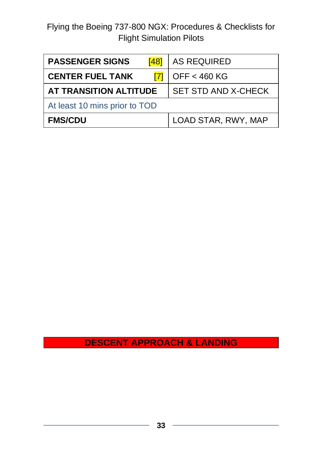| <b>PASSENGER SIGNS</b><br>[48] | <b>AS REQUIRED</b>     |  |
|--------------------------------|------------------------|--|
| <b>CENTER FUEL TANK</b>        | <b>OFF &lt; 460 KG</b> |  |
| AT TRANSITION ALTITUDE         | SET STD AND X-CHECK    |  |
| At least 10 mins prior to TOD  |                        |  |
| <b>FMS/CDU</b>                 | LOAD STAR, RWY, MAP    |  |

**DESCENT APPROACH & LANDING**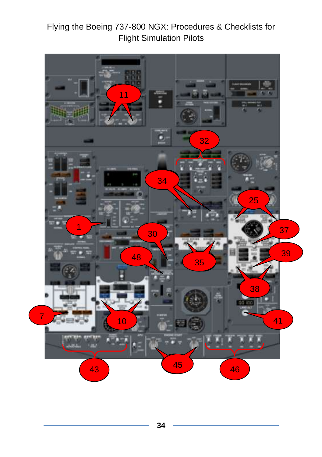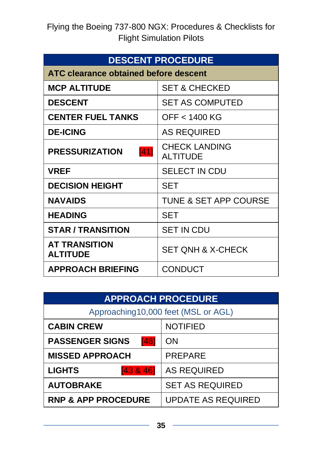| <b>DESCENT PROCEDURE</b>                     |                                         |  |
|----------------------------------------------|-----------------------------------------|--|
| <b>ATC clearance obtained before descent</b> |                                         |  |
| <b>MCP ALTITUDE</b>                          | <b>SET &amp; CHECKED</b>                |  |
| <b>DESCENT</b>                               | <b>SET AS COMPUTED</b>                  |  |
| <b>CENTER FUEL TANKS</b>                     | OFF < 1400 KG                           |  |
| <b>DE-ICING</b>                              | <b>AS REQUIRED</b>                      |  |
| [41]<br><b>PRESSURIZATION</b>                | <b>CHECK LANDING</b><br><b>ALTITUDE</b> |  |
| <b>VREF</b>                                  | SELECT IN CDU                           |  |
| <b>DECISION HEIGHT</b>                       | SET                                     |  |
| <b>NAVAIDS</b>                               | <b>TUNE &amp; SET APP COURSE</b>        |  |
| <b>HEADING</b>                               | SET                                     |  |
| <b>STAR / TRANSITION</b>                     | SET IN CDU                              |  |
| <b>AT TRANSITION</b><br><b>ALTITUDE</b>      | <b>SET QNH &amp; X-CHECK</b>            |  |
| <b>APPROACH BRIEFING</b>                     | <b>CONDUCT</b>                          |  |

| <b>APPROACH PROCEDURE</b>            |                           |  |
|--------------------------------------|---------------------------|--|
| Approaching 10,000 feet (MSL or AGL) |                           |  |
| <b>CABIN CREW</b>                    | <b>NOTIFIED</b>           |  |
| [48]<br><b>PASSENGER SIGNS</b>       | <b>ON</b>                 |  |
| <b>MISSED APPROACH</b>               | <b>PREPARE</b>            |  |
| [43, 8, 46]<br><b>LIGHTS</b>         | <b>AS REQUIRED</b>        |  |
| <b>AUTOBRAKE</b>                     | <b>SET AS REQUIRED</b>    |  |
| <b>RNP &amp; APP PROCEDURE</b>       | <b>UPDATE AS REQUIRED</b> |  |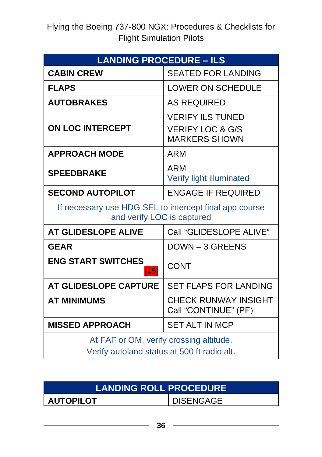| <b>LANDING PROCEDURE - ILS</b>                                                         |                                                                                |  |
|----------------------------------------------------------------------------------------|--------------------------------------------------------------------------------|--|
| <b>CABIN CREW</b>                                                                      | <b>SEATED FOR LANDING</b>                                                      |  |
| <b>FLAPS</b>                                                                           | <b>LOWER ON SCHEDULE</b>                                                       |  |
| <b>AUTOBRAKES</b>                                                                      | <b>AS REQUIRED</b>                                                             |  |
| <b>ON LOC INTERCEPT</b>                                                                | <b>VERIFY ILS TUNED</b><br><b>VERIFY LOC &amp; G/S</b><br><b>MARKERS SHOWN</b> |  |
| <b>APPROACH MODE</b>                                                                   | ARM                                                                            |  |
| <b>SPEEDBRAKE</b>                                                                      | ARM<br>Verify light illuminated                                                |  |
| <b>SECOND AUTOPILOT</b>                                                                | <b>ENGAGE IF REQUIRED</b>                                                      |  |
| If necessary use HDG SEL to intercept final app course<br>and verify LOC is captured   |                                                                                |  |
| <b>AT GLIDESLOPE ALIVE</b>                                                             | Call "GLIDESLOPE ALIVE"                                                        |  |
| <b>GEAR</b>                                                                            | DOWN-3 GREENS                                                                  |  |
| <b>ENG START SWITCHES</b><br>[45]                                                      | <b>CONT</b>                                                                    |  |
| <b>AT GLIDESLOPE CAPTURE</b>                                                           | <b>SET FLAPS FOR LANDING</b>                                                   |  |
| <b>AT MINIMUMS</b>                                                                     | <b>CHECK RUNWAY INSIGHT</b><br>Call "CONTINUE" (PF)                            |  |
| <b>MISSED APPROACH</b>                                                                 | <b>SET ALT IN MCP</b>                                                          |  |
| At FAF or OM, verify crossing altitude.<br>Verify autoland status at 500 ft radio alt. |                                                                                |  |

| <b>LANDING ROLL PROCEDURE</b> |                  |
|-------------------------------|------------------|
| <b>AUTOPILOT</b>              | <b>DISENGAGE</b> |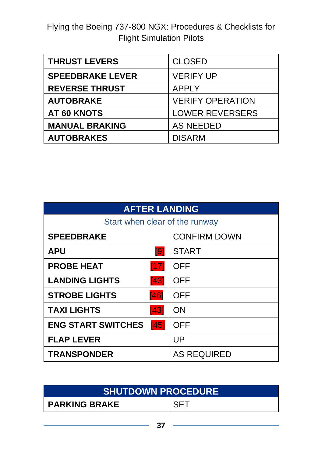| <b>THRUST LEVERS</b>    | <b>CLOSED</b>           |
|-------------------------|-------------------------|
| <b>SPEEDBRAKE LEVER</b> | <b>VERIFY UP</b>        |
| <b>REVERSE THRUST</b>   | <b>APPLY</b>            |
| <b>AUTOBRAKE</b>        | <b>VERIFY OPERATION</b> |
| AT 60 KNOTS             | <b>LOWER REVERSERS</b>  |
| <b>MANUAL BRAKING</b>   | <b>AS NEEDED</b>        |
| <b>AUTOBRAKES</b>       | <b>DISARM</b>           |

| <b>AFTER LANDING</b>              |                     |
|-----------------------------------|---------------------|
| Start when clear of the runway    |                     |
| <b>SPEEDBRAKE</b>                 | <b>CONFIRM DOWN</b> |
| <b>APU</b><br>[9]                 | <b>START</b>        |
| $[17]$<br><b>PROBE HEAT</b>       | <b>OFF</b>          |
| <b>LANDING LIGHTS</b><br>[43]     | <b>OFF</b>          |
| <b>STROBE LIGHTS</b><br>[46]      | <b>OFF</b>          |
| [43]<br><b>TAXI LIGHTS</b>        | ON                  |
| <b>ENG START SWITCHES</b><br>[45] | <b>OFF</b>          |
| <b>FLAP LEVER</b>                 | UP                  |
| <b>TRANSPONDER</b>                | <b>AS REQUIRED</b>  |

| <b>SHUTDOWN PROCEDURE</b> |  |
|---------------------------|--|
| <b>PARKING BRAKE</b>      |  |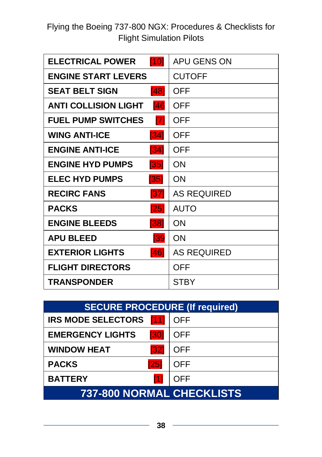| <b>ELECTRICAL POWER</b><br>[10]           | <b>APU GENS ON</b> |
|-------------------------------------------|--------------------|
| <b>ENGINE START LEVERS</b>                | <b>CUTOFF</b>      |
| [48]<br><b>SEAT BELT SIGN</b>             | <b>OFF</b>         |
| <b>I46</b><br><b>ANTI COLLISION LIGHT</b> | <b>OFF</b>         |
| [7]<br><b>FUEL PUMP SWITCHES</b>          | <b>OFF</b>         |
| [34]<br><b>WING ANTI-ICE</b>              | <b>OFF</b>         |
| [34]<br><b>ENGINE ANTI-ICE</b>            | <b>OFF</b>         |
| $[35]$<br><b>ENGINE HYD PUMPS</b>         | <b>ON</b>          |
| [35]<br><b>ELEC HYD PUMPS</b>             | ON                 |
| [37]<br><b>RECIRC FANS</b>                | <b>AS REQUIRED</b> |
| $[25]$<br><b>PACKS</b>                    | <b>AUTO</b>        |
| [38]<br><b>ENGINE BLEEDS</b>              | ON                 |
| [39<br><b>APU BLEED</b>                   | <b>ON</b>          |
| [46]<br><b>EXTERIOR LIGHTS</b>            | <b>AS REQUIRED</b> |
| <b>FLIGHT DIRECTORS</b>                   | OFF                |
| <b>TRANSPONDER</b>                        | <b>STBY</b>        |

| <b>SECURE PROCEDURE (If required)</b> |            |  |
|---------------------------------------|------------|--|
| <b>IRS MODE SELECTORS</b><br>[11]     | OFF        |  |
| <b>EMERGENCY LIGHTS</b><br>[30]       | OFF        |  |
| [32]<br><b>WINDOW HEAT</b>            | <b>OFF</b> |  |
| <b>PACKS</b><br>[25]                  | OFF        |  |
| <b>BATTERY</b><br>[1]                 | <b>OFF</b> |  |
| <b>737-800 NORMAL CHECKLISTS</b>      |            |  |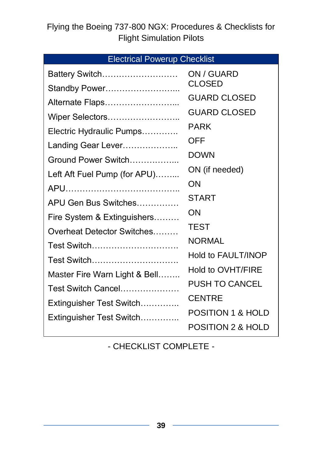Electrical Powerup Checklist

| Battery Switch<br>Standby Power<br>Alternate Flaps<br>Wiper Selectors<br>Electric Hydraulic Pumps<br>Landing Gear Lever<br>Ground Power Switch<br>Left Aft Fuel Pump (for APU)<br>APU Gen Bus Switches<br>Fire System & Extinguishers<br>Overheat Detector Switches<br>Test Switch<br>Test Switch<br>Master Fire Warn Light & Bell<br>Test Switch Cancel | ON / GUARD<br><b>CLOSED</b><br><b>GUARD CLOSED</b><br><b>GUARD CLOSED</b><br>PARK<br>OFF<br><b>DOWN</b><br>ON (if needed)<br>ON<br>START<br>ON<br>TEST<br><b>NORMAL</b><br><b>Hold to FAULT/INOP</b><br><b>Hold to OVHT/FIRE</b><br><b>PUSH TO CANCEL</b><br><b>CENTRE</b> |
|----------------------------------------------------------------------------------------------------------------------------------------------------------------------------------------------------------------------------------------------------------------------------------------------------------------------------------------------------------|----------------------------------------------------------------------------------------------------------------------------------------------------------------------------------------------------------------------------------------------------------------------------|
| Extinguisher Test Switch<br>Extinguisher Test Switch                                                                                                                                                                                                                                                                                                     | POSITION 1 & HOLD                                                                                                                                                                                                                                                          |
|                                                                                                                                                                                                                                                                                                                                                          | <b>POSITION 2 &amp; HOLD</b>                                                                                                                                                                                                                                               |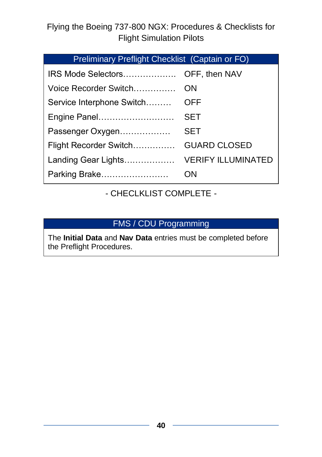| Preliminary Preflight Checklist (Captain or FO) |                           |
|-------------------------------------------------|---------------------------|
| IRS Mode Selectors OFF, then NAV                |                           |
| Voice Recorder Switch                           | ON                        |
| Service Interphone Switch                       | OFF                       |
| Engine Panel                                    | SET                       |
| Passenger Oxygen                                | <b>SET</b>                |
| Flight Recorder Switch                          | <b>GUARD CLOSED</b>       |
| Landing Gear Lights                             | <b>VERIFY ILLUMINATED</b> |
| Parking Brake                                   | ON                        |

- CHECLKLIST COMPLETE -

#### FMS / CDU Programming

The **Initial Data** and **Nav Data** entries must be completed before the Preflight Procedures.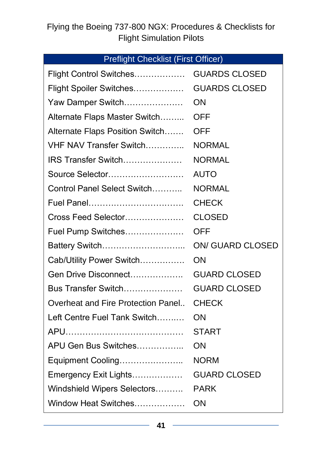| <b>Preflight Checklist (First Officer)</b> |  |
|--------------------------------------------|--|
|--------------------------------------------|--|

| Flight Control Switches            | <b>GUARDS CLOSED</b> |
|------------------------------------|----------------------|
| Flight Spoiler Switches            | <b>GUARDS CLOSED</b> |
| Yaw Damper Switch                  | ON                   |
| Alternate Flaps Master Switch      | OFF                  |
| Alternate Flaps Position Switch    | <b>OFF</b>           |
| VHF NAV Transfer Switch            | <b>NORMAL</b>        |
| IRS Transfer Switch                | <b>NORMAL</b>        |
| Source Selector                    | <b>AUTO</b>          |
| Control Panel Select Switch        | <b>NORMAL</b>        |
| Fuel Panel                         | <b>CHECK</b>         |
| Cross Feed Selector                | <b>CLOSED</b>        |
| Fuel Pump Switches                 | <b>OFF</b>           |
| Battery Switch                     | ON/ GUARD CLOSED     |
| Cab/Utility Power Switch           | ΟN                   |
|                                    |                      |
| Gen Drive Disconnect               | <b>GUARD CLOSED</b>  |
| Bus Transfer Switch                | <b>GUARD CLOSED</b>  |
| Overheat and Fire Protection Panel | <b>CHECK</b>         |
| Left Centre Fuel Tank Switch       | ON                   |
|                                    | <b>START</b>         |
| APU Gen Bus Switches               | ON                   |
| Equipment Cooling                  | <b>NORM</b>          |
| Emergency Exit Lights              | <b>GUARD CLOSED</b>  |
| Windshield Wipers Selectors        | <b>PARK</b>          |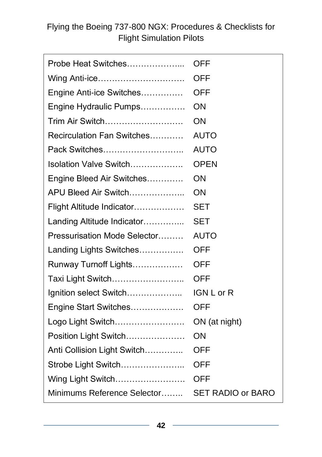| Probe Heat Switches          | OFF                      |
|------------------------------|--------------------------|
| Wing Anti-ice                | <b>OFF</b>               |
| Engine Anti-ice Switches     | <b>OFF</b>               |
| Engine Hydraulic Pumps       | ON                       |
| Trim Air Switch              | ON                       |
| Recirculation Fan Switches   | <b>AUTO</b>              |
| Pack Switches                | <b>AUTO</b>              |
| Isolation Valve Switch       | <b>OPEN</b>              |
| Engine Bleed Air Switches    | ON                       |
| APU Bleed Air Switch         | ON                       |
| Flight Altitude Indicator    | SET                      |
| Landing Altitude Indicator   | SET                      |
| Pressurisation Mode Selector | <b>AUTO</b>              |
| Landing Lights Switches      | <b>OFF</b>               |
| Runway Turnoff Lights        | OFF                      |
| Taxi Light Switch            | <b>OFF</b>               |
| Ignition select Switch       | <b>IGN L or R</b>        |
| Engine Start Switches        | OFF                      |
| Logo Light Switch            | ON (at night)            |
| Position Light Switch        | ON                       |
| Anti Collision Light Switch  | OFF                      |
| Strobe Light Switch          | OFF                      |
| Wing Light Switch            | <b>OFF</b>               |
| Minimums Reference Selector  | <b>SET RADIO or BARO</b> |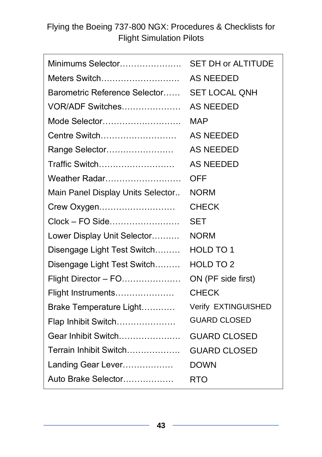| Minimums Selector                 | <b>SET DH or ALTITUDE</b> |
|-----------------------------------|---------------------------|
| Meters Switch                     | <b>AS NEEDED</b>          |
| Barometric Reference Selector     | <b>SET LOCAL QNH</b>      |
| VOR/ADF Switches                  | <b>AS NEEDED</b>          |
| Mode Selector                     | <b>MAP</b>                |
| Centre Switch                     | <b>AS NEEDED</b>          |
| Range Selector                    | <b>AS NEEDED</b>          |
| Traffic Switch                    | <b>AS NEEDED</b>          |
| Weather Radar                     | <b>OFF</b>                |
| Main Panel Display Units Selector | <b>NORM</b>               |
| Crew Oxygen                       | <b>CHECK</b>              |
| Clock - FO Side                   | <b>SET</b>                |
| Lower Display Unit Selector       | <b>NORM</b>               |
| Disengage Light Test Switch       | HOLD TO 1                 |
| Disengage Light Test Switch       | HOLD TO 2                 |
| Flight Director - FO              | ON (PF side first)        |
| Flight Instruments                | <b>CHECK</b>              |
| Brake Temperature Light           | Verify EXTINGUISHED       |
| Flap Inhibit Switch               | <b>GUARD CLOSED</b>       |
| Gear Inhibit Switch               | <b>GUARD CLOSED</b>       |
| Terrain Inhibit Switch            | <b>GUARD CLOSED</b>       |
| Landing Gear Lever                | <b>DOWN</b>               |
| Auto Brake Selector               | <b>RTO</b>                |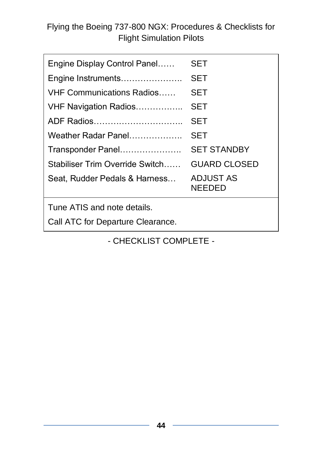| Engine Display Control Panel     | SET                        |
|----------------------------------|----------------------------|
| Engine Instruments               | SET                        |
| <b>VHF Communications Radios</b> | SET                        |
| VHF Navigation Radios            | SET                        |
| ADF Radios                       | SET                        |
| Weather Radar Panel              | SET                        |
| Transponder Panel                | <b>SET STANDBY</b>         |
| Stabiliser Trim Override Switch  | <b>GUARD CLOSED</b>        |
| Seat, Rudder Pedals & Harness    | ADJUST AS<br><b>NEEDED</b> |

Tune ATIS and note details.

Call ATC for Departure Clearance.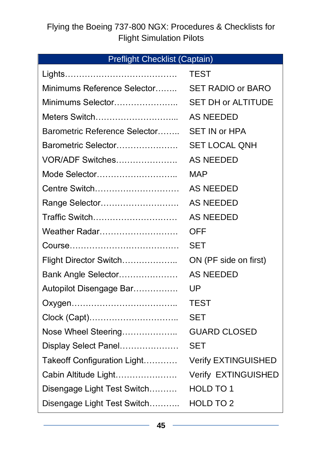Preflight Checklist (Captain)

|                               | <b>TEST</b>                |
|-------------------------------|----------------------------|
| Minimums Reference Selector   | SET RADIO or BARO          |
| Minimums Selector             | <b>SET DH or ALTITUDE</b>  |
| Meters Switch                 | <b>AS NEEDED</b>           |
| Barometric Reference Selector | <b>SET IN or HPA</b>       |
| Barometric Selector           | <b>SET LOCAL QNH</b>       |
| VOR/ADF Switches              | <b>AS NEEDED</b>           |
| Mode Selector                 | <b>MAP</b>                 |
| Centre Switch                 | <b>AS NEEDED</b>           |
| Range Selector                | <b>AS NEEDED</b>           |
| Traffic Switch                | <b>AS NEEDED</b>           |
| Weather Radar                 | <b>OFF</b>                 |
|                               | <b>SET</b>                 |
| Flight Director Switch        | ON (PF side on first)      |
| Bank Angle Selector           | <b>AS NEEDED</b>           |
| Autopilot Disengage Bar       | UP                         |
|                               | <b>TEST</b>                |
|                               | <b>SET</b>                 |
| Nose Wheel Steering           | <b>GUARD CLOSED</b>        |
| Display Select Panel          | <b>SET</b>                 |
| Takeoff Configuration Light   | <b>Verify EXTINGUISHED</b> |
| Cabin Altitude Light          | Verify EXTINGUISHED        |
| Disengage Light Test Switch   | HOLD TO 1                  |
| Disengage Light Test Switch   | HOLD TO 2                  |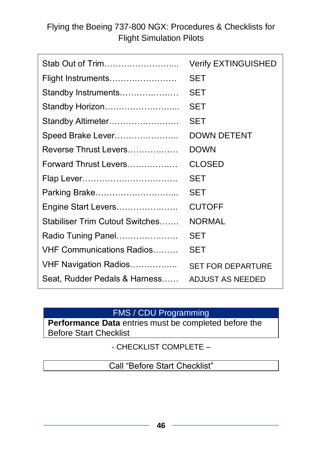| Stab Out of Trim                | <b>Verify EXTINGUISHED</b> |
|---------------------------------|----------------------------|
| Flight Instruments              | SET                        |
| Standby Instruments             | SET                        |
| Standby Horizon                 | SET                        |
| Standby Altimeter               | SET                        |
| Speed Brake Lever               | <b>DOWN DETENT</b>         |
| Reverse Thrust Levers           | <b>DOWN</b>                |
| Forward Thrust Levers           | CLOSED                     |
|                                 | SET                        |
| Parking Brake                   | SET                        |
| Engine Start Levers             | <b>CUTOFF</b>              |
| Stabiliser Trim Cutout Switches | <b>NORMAL</b>              |
| Radio Tuning Panel              | SET                        |
| VHF Communications Radios       | SET                        |
| VHF Navigation Radios           | <b>SET FOR DEPARTURE</b>   |
| Seat, Rudder Pedals & Harness   | ADJUST AS NEEDED           |

#### FMS / CDU Programming

**Performance Data** entries must be completed before the Before Start Checklist

- CHECKLIST COMPLETE –

Call "Before Start Checklist"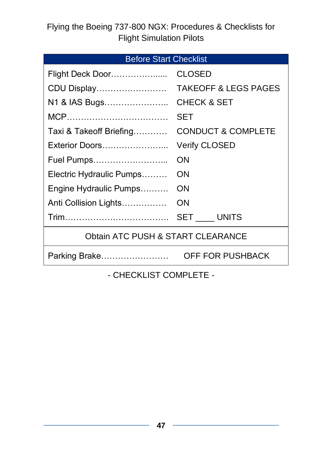### Before Start Checklist

| Flight Deck Door                             | CLOSED                          |
|----------------------------------------------|---------------------------------|
| CDU Display                                  | <b>TAKEOFF &amp; LEGS PAGES</b> |
| N1 & IAS Bugs                                | <b>CHECK &amp; SET</b>          |
|                                              | SET                             |
| Taxi & Takeoff Briefing                      | <b>CONDUCT &amp; COMPLETE</b>   |
| Exterior Doors                               | <b>Verify CLOSED</b>            |
|                                              | OΝ                              |
| Electric Hydraulic Pumps                     | ON                              |
| Engine Hydraulic Pumps                       | ON                              |
| Anti Collision Lights                        | ON                              |
|                                              | SET UNITS                       |
| <b>Obtain ATC PUSH &amp; START CLEARANCE</b> |                                 |
|                                              |                                 |

Parking Brake……………………… OFF FOR PUSHBACK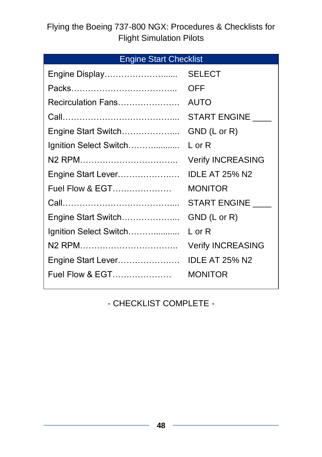Engine Start Checklist

| Engine Display         | <b>SELECT</b>            |
|------------------------|--------------------------|
|                        | OFF                      |
| Recirculation Fans     | AUTO                     |
|                        | START ENGINE             |
| Engine Start Switch    | GND (L or R)             |
| Ignition Select Switch | L or R                   |
|                        | <b>Verify INCREASING</b> |
| Engine Start Lever     | IDLE AT 25% N2           |
| Fuel Flow & EGT        | <b>MONITOR</b>           |
|                        | START ENGINE             |
| Engine Start Switch    | GND (L or R)             |
| Ignition Select Switch | L or R                   |
|                        | <b>Verify INCREASING</b> |
| Engine Start Lever     | <b>IDLE AT 25% N2</b>    |
| Fuel Flow & EGT        | <b>MONITOR</b>           |
|                        |                          |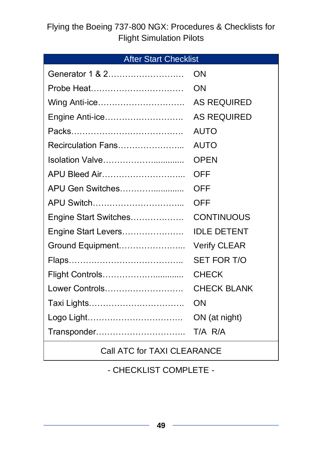#### After Start Checklist

| Generator 1 & 2       | ON                  |
|-----------------------|---------------------|
| Probe Heat            | ΟN                  |
| Wing Anti-ice         | <b>AS REQUIRED</b>  |
| Engine Anti-ice       | <b>AS REQUIRED</b>  |
|                       | AUTO                |
| Recirculation Fans    | AUTO                |
| Isolation Valve       | <b>OPEN</b>         |
| APU Bleed Air         | OFF                 |
| APU Gen Switches      | OFF                 |
| APU Switch            | OFF                 |
| Engine Start Switches | <b>CONTINUOUS</b>   |
| Engine Start Levers   | <b>IDLE DETENT</b>  |
| Ground Equipment      | <b>Verify CLEAR</b> |
|                       | <b>SET FOR T/O</b>  |
| Flight Controls       | <b>CHECK</b>        |
| Lower Controls        | <b>CHECK BLANK</b>  |
| Taxi Lights           | <b>ON</b>           |
|                       | ON (at night)       |
| Transponder           | T/A R/A             |

#### Call ATC for TAXI CLEARANCE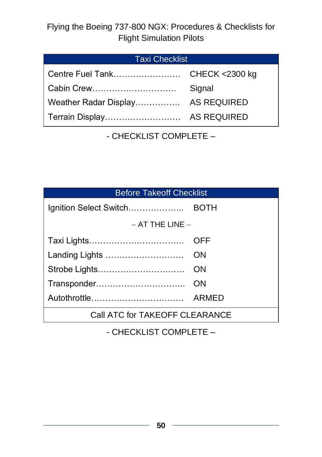#### Taxi Checklist

| Centre Fuel Tank CHECK <2300 kg   |  |
|-----------------------------------|--|
|                                   |  |
| Weather Radar Display AS REQUIRED |  |
|                                   |  |

- CHECKLIST COMPLETE –

| <b>Before Takeoff Checklist</b> |             |  |
|---------------------------------|-------------|--|
| Ignition Select Switch          | <b>BOTH</b> |  |
| $-$ AT THE LINE $-$             |             |  |
|                                 | <b>OFF</b>  |  |
| Landing Lights                  | ON          |  |
| Strobe Lights                   | ON          |  |
| Transponder                     | ON          |  |
| Autothrottle                    | ARMED       |  |
| Call ATC for TAKEOFF CLEARANCE  |             |  |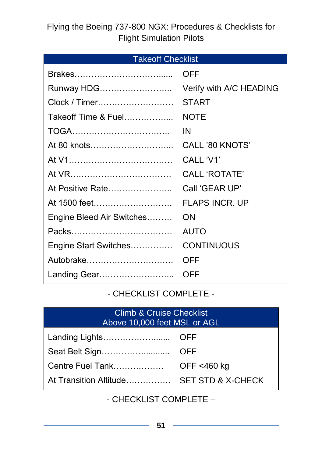#### Takeoff Checklist

|                           | OFF                     |
|---------------------------|-------------------------|
| Runway HDG                | Verify with A/C HEADING |
| Clock / Timer             | START                   |
| Takeoff Time & Fuel       | <b>NOTE</b>             |
|                           | ΙN                      |
|                           | CALL '80 KNOTS'         |
|                           | CALL 'V1'               |
|                           | <b>CALL 'ROTATE'</b>    |
| At Positive Rate          | Call 'GEAR UP'          |
| At 1500 feet              | <b>FLAPS INCR. UP</b>   |
| Engine Bleed Air Switches | ON                      |
|                           | AUTO                    |
| Engine Start Switches     | <b>CONTINUOUS</b>       |
| Autobrake                 | OFF                     |
| Landing Gear              | OFF                     |
|                           |                         |

### - CHECKLIST COMPLETE -

| Climb & Cruise Checklist<br>Above 10,000 feet MSL or AGL |  |
|----------------------------------------------------------|--|
|                                                          |  |
|                                                          |  |
|                                                          |  |
| At Transition Altitude SET STD & X-CHECK                 |  |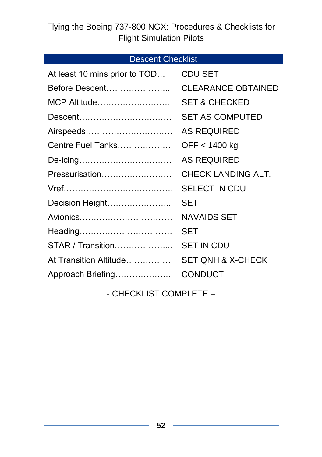#### Descent Checklist

| At least 10 mins prior to TOD | <b>CDU SET</b>               |
|-------------------------------|------------------------------|
| Before Descent                | <b>CLEARANCE OBTAINED</b>    |
| MCP Altitude                  | <b>SET &amp; CHECKED</b>     |
| Descent                       | <b>SET AS COMPUTED</b>       |
| Airspeeds                     | <b>AS REQUIRED</b>           |
| Centre Fuel Tanks             | OFF < 1400 kg                |
| De-icing                      | <b>AS REQUIRED</b>           |
| Pressurisation                | CHECK LANDING ALT.           |
|                               | <b>SELECT IN CDU</b>         |
| Decision Height               | SET                          |
| Avionics                      | NAVAIDS SET                  |
| Heading                       | SET                          |
| STAR / Transition             | <b>SET IN CDU</b>            |
| At Transition Altitude        | <b>SET QNH &amp; X-CHECK</b> |
| Approach Briefing             | CONDUCT                      |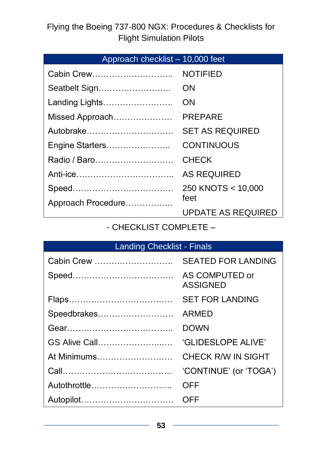| Approach checklist - 10,000 feet |                           |
|----------------------------------|---------------------------|
| Cabin Crew                       | <b>NOTIFIED</b>           |
| Seatbelt Sign                    | ON                        |
| Landing Lights                   | ON                        |
| Missed Approach                  | <b>PREPARE</b>            |
| Autobrake                        | <b>SET AS REQUIRED</b>    |
| Engine Starters                  | <b>CONTINUOUS</b>         |
| Radio / Baro                     | <b>CHECK</b>              |
|                                  | <b>AS REQUIRED</b>        |
|                                  | 250 KNOTS < 10,000        |
| Approach Procedure               | feet                      |
|                                  | <b>UPDATE AS REQUIRED</b> |

- CHECKLIST COMPLETE –

| <b>Landing Checklist - Finals</b> |                                   |
|-----------------------------------|-----------------------------------|
| Cabin Crew                        | <b>SEATED FOR LANDING</b>         |
|                                   | AS COMPUTED or<br><b>ASSIGNED</b> |
|                                   | <b>SET FOR LANDING</b>            |
| Speedbrakes                       | ARMED                             |
|                                   | <b>DOWN</b>                       |
| <b>GS Alive Call</b>              | <b>'GLIDESLOPE ALIVE'</b>         |
| At Minimums                       | CHECK R/W IN SIGHT                |
|                                   | 'CONTINUE' (or 'TOGA')            |
| Autothrottle                      | OFF                               |
| Autopilot                         | OFF                               |

**53**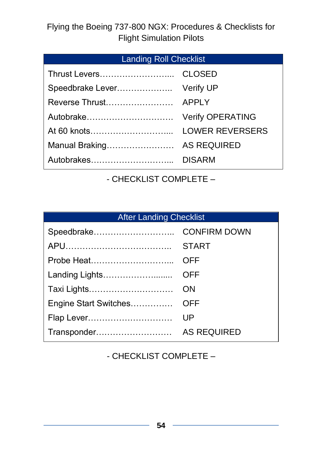### Landing Roll Checklist

| Speedbrake Lever Verify UP |                         |
|----------------------------|-------------------------|
|                            |                         |
| Autobrake                  | <b>Verify OPERATING</b> |
|                            |                         |
|                            |                         |
|                            |                         |

- CHECKLIST COMPLETE –

| <b>After Landing Checklist</b> |                     |  |
|--------------------------------|---------------------|--|
| Speedbrake                     | <b>CONFIRM DOWN</b> |  |
|                                | START               |  |
|                                | <b>OFF</b>          |  |
| Landing Lights                 | OFF                 |  |
| Taxi Lights                    | ON                  |  |
| Engine Start Switches          | OFF                 |  |
| Flap Lever                     | UP                  |  |
| Transponder                    | AS REQUIRED         |  |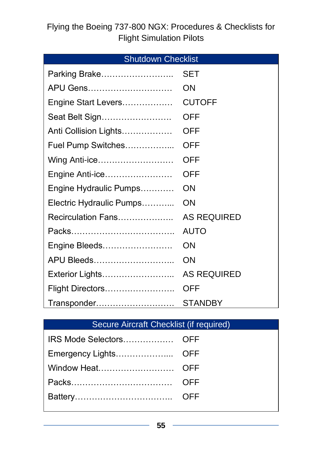#### Shutdown Checklist

| Parking Brake            | SET                |
|--------------------------|--------------------|
| APU Gens                 | ON                 |
| Engine Start Levers      | <b>CUTOFF</b>      |
| Seat Belt Sign           | OFF                |
| Anti Collision Lights    | OFF                |
| Fuel Pump Switches       | OFF                |
| Wing Anti-ice            | OFF                |
| Engine Anti-ice          | OFF                |
| Engine Hydraulic Pumps   | ON                 |
| Electric Hydraulic Pumps | ON                 |
| Recirculation Fans       | <b>AS REQUIRED</b> |
|                          | <b>AUTO</b>        |
| Engine Bleeds            | ON                 |
| APU Bleeds               | ON                 |
| Exterior Lights          | <b>AS REQUIRED</b> |
| Flight Directors         | OFF                |
| Transponder              | STANDBY            |

| Secure Aircraft Checklist (if required) |  |  |
|-----------------------------------------|--|--|
|                                         |  |  |
|                                         |  |  |
| Window Heat OFF                         |  |  |
|                                         |  |  |
|                                         |  |  |
|                                         |  |  |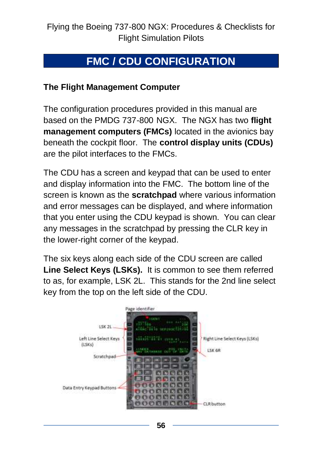# **FMC / CDU CONFIGURATION**

#### **The Flight Management Computer**

The configuration procedures provided in this manual are based on the PMDG 737-800 NGX. The NGX has two **flight management computers (FMCs)** located in the avionics bay beneath the cockpit floor. The **control display units (CDUs)** are the pilot interfaces to the FMCs.

The CDU has a screen and keypad that can be used to enter and display information into the FMC. The bottom line of the screen is known as the **scratchpad** where various information and error messages can be displayed, and where information that you enter using the CDU keypad is shown. You can clear any messages in the scratchpad by pressing the CLR key in the lower-right corner of the keypad.

The six keys along each side of the CDU screen are called **Line Select Keys (LSKs).** It is common to see them referred to as, for example, LSK 2L. This stands for the 2nd line select key from the top on the left side of the CDU.

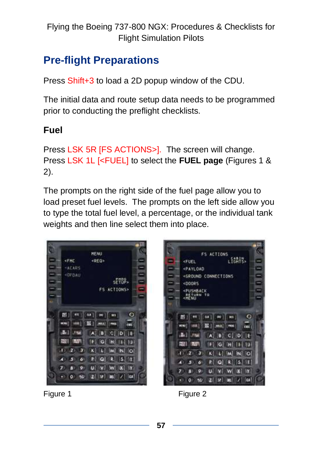# **Pre-flight Preparations**

Press Shift+3 to load a 2D popup window of the CDU.

The initial data and route setup data needs to be programmed prior to conducting the preflight checklists.

### **Fuel**

Press LSK 5R IFS ACTIONS>I. The screen will change. Press LSK 1L [<FUEL] to select the **FUEL page** (Figures 1 & 2).

The prompts on the right side of the fuel page allow you to load preset fuel levels. The prompts on the left side allow you to type the total fuel level, a percentage, or the individual tank weights and then line select them into place.





Figure 1 Figure 2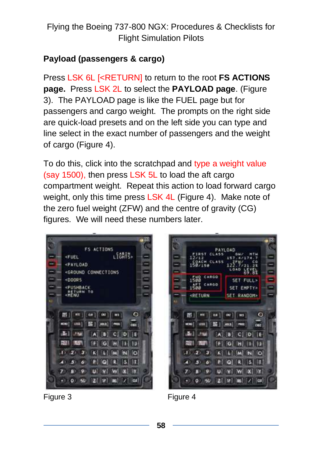### **Payload (passengers & cargo)**

Press LSK 6L [<RETURN] to return to the root **FS ACTIONS page.** Press LSK 2L to select the **PAYLOAD page**. (Figure 3). The PAYLOAD page is like the FUEL page but for passengers and cargo weight. The prompts on the right side are quick-load presets and on the left side you can type and line select in the exact number of passengers and the weight of cargo (Figure 4).

To do this, click into the scratchpad and type a weight value (say 1500), then press LSK 5L to load the aft cargo compartment weight. Repeat this action to load forward cargo weight, only this time press LSK 4L (Figure 4). Make note of the zero fuel weight (ZFW) and the centre of gravity (CG) figures. We will need these numbers later.



**CRETURN PANDOH:**  $\bullet$ rac. **Price**  $C$   $D$   $E$ **GI IHI** 101 K. m M N O P.  $Q$  R  $|S|$  T  $-6$ U. W WI IXI IYI  $\frac{1}{2}$  $Z$ [  $|S$  ]  $|B|$   $|J$  ]  $|C$ 0.1.149

Figure 3 Figure 4

**58**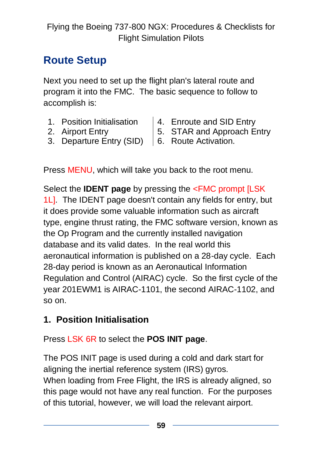# **Route Setup**

Next you need to set up the flight plan's lateral route and program it into the FMC. The basic sequence to follow to accomplish is:

- 1. Position Initialisation
- 4. Enroute and SID Entry
- 2. Airport Entry
- 3. Departure Entry (SID)
- 5. STAR and Approach Entry
- 6. Route Activation.

Press MENU, which will take you back to the root menu.

Select the **IDENT page** by pressing the <FMC prompt [LSK 1L]. The IDENT page doesn't contain any fields for entry, but it does provide some valuable information such as aircraft type, engine thrust rating, the FMC software version, known as the Op Program and the currently installed navigation database and its valid dates. In the real world this aeronautical information is published on a 28-day cycle. Each 28-day period is known as an Aeronautical Information Regulation and Control (AIRAC) cycle. So the first cycle of the year 201EWM1 is AIRAC-1101, the second AIRAC-1102, and so on.

### **1. Position Initialisation**

Press LSK 6R to select the **POS INIT page**.

The POS INIT page is used during a cold and dark start for aligning the inertial reference system (IRS) gyros. When loading from Free Flight, the IRS is already aligned, so this page would not have any real function. For the purposes of this tutorial, however, we will load the relevant airport.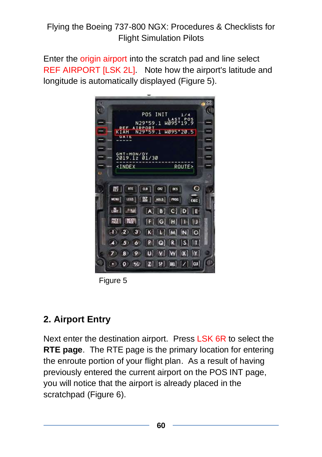Enter the origin airport into the scratch pad and line select REF AIRPORT [LSK 2L]. Note how the airport's latitude and longitude is automatically displayed (Figure 5).



Figure 5

### **2. Airport Entry**

Next enter the destination airport. Press LSK 6R to select the **RTE page**. The RTE page is the primary location for entering the enroute portion of your flight plan. As a result of having previously entered the current airport on the POS INT page, you will notice that the airport is already placed in the scratchpad (Figure 6).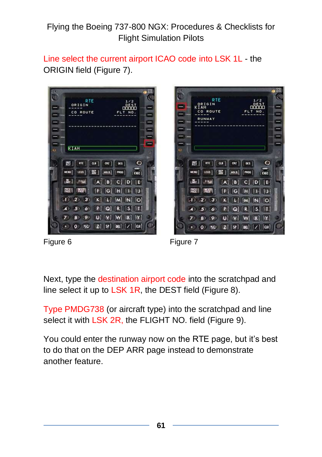Line select the current airport ICAO code into LSK 1L - the ORIGIN field (Figure 7).





Figure 6 Figure 7

Next, type the destination airport code into the scratchpad and line select it up to LSK 1R, the DEST field (Figure 8).

Type PMDG738 (or aircraft type) into the scratchpad and line select it with LSK 2R, the FLIGHT NO. field (Figure 9).

You could enter the runway now on the RTE page, but it's best to do that on the DEP ARR page instead to demonstrate another feature.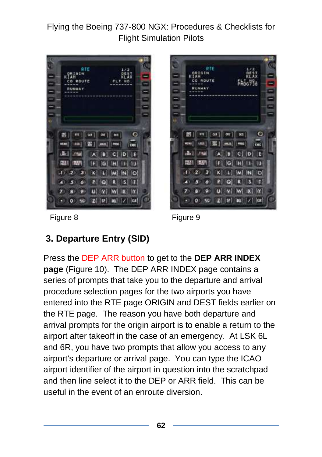

Figure 8 **Figure 9** 

m. on 1 **COL DES** ww.l unit)  $rac{1}{2}$ C D IE **NUE** F  $|G|$ **HI**  $11 - 191$  $\overline{3}$  $|M|$   $N|$   $Q$ K ы  $|S|$   $|T|$ o R.  $x$ ]  $x$ ] U. w [ax]

## **3. Departure Entry (SID)**

Press the DEP ARR button to get to the **DEP ARR INDEX page** (Figure 10). The DEP ARR INDEX page contains a series of prompts that take you to the departure and arrival procedure selection pages for the two airports you have entered into the RTE page ORIGIN and DEST fields earlier on the RTE page. The reason you have both departure and arrival prompts for the origin airport is to enable a return to the airport after takeoff in the case of an emergency. At LSK 6L and 6R, you have two prompts that allow you access to any airport's departure or arrival page. You can type the ICAO airport identifier of the airport in question into the scratchpad and then line select it to the DEP or ARR field. This can be useful in the event of an enroute diversion.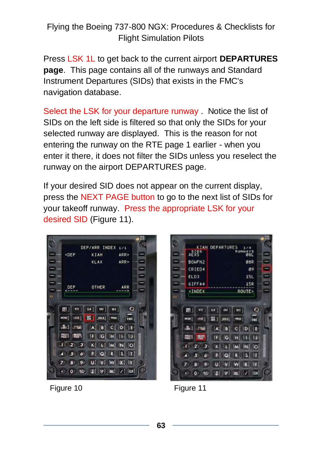Press LSK 1L to get back to the current airport **DEPARTURES page**. This page contains all of the runways and Standard Instrument Departures (SIDs) that exists in the FMC's navigation database.

Select the LSK for your departure runway . Notice the list of SIDs on the left side is filtered so that only the SIDs for your selected runway are displayed. This is the reason for not entering the runway on the RTE page 1 earlier - when you enter it there, it does not filter the SIDs unless you reselect the runway on the airport DEPARTURES page.

If your desired SID does not appear on the current display, press the NEXT PAGE button to go to the next list of SIDs for your takeoff runway. Press the appropriate LSK for your desired SID (Figure 11).

|                                                  | Σ       |
|--------------------------------------------------|---------|
| DEP/ARR INDEX 1/1                                | a       |
| <dep<br>KIAH</dep<br>                            | ARR>    |
| <b>KLAX</b>                                      | ARR     |
|                                                  |         |
|                                                  |         |
| DEP<br>OTHER                                     | ARR     |
|                                                  |         |
|                                                  |         |
| $  \mathbf{r}  $ and<br> a <br>$ $ CRZ $ $ DKS   | $\circ$ |
| 1000<br>MENU   LEGS.<br>PROC                     | EXEC    |
| $M_{\rm H}$ rask<br>$ A $ $ B $ $C $ $ D $ $ E $ |         |
| <b>REET INSERI</b><br>F[G/H][1]                  |         |
| $K$ $L$ $M$ $N$ $O$<br>ΞĪ<br>(2)(3)              |         |
|                                                  |         |
| (5)(6)[P][Q][R][S][I]                            |         |
|                                                  |         |
| $ U $ $ V $ $ W $ $ X $ $ Y $<br>8 (9)           |         |

Figure 10 Figure 11

**KTAH DEPARTURES** 清潔 **BOUFN**2 as.  $151$ 158 ROUTE> CONDEY  $\lceil m \rceil$  at  $\lceil \alpha r \rceil$  $\overline{123}$  $\circ$  $|mg|$ **LAC MATT** die 1 von **B C** DIE **1927**  $F[G][H][1]$ m  $K$   $L$   $M$   $N$   $O$  $20.7$ Đ  $5 - 6$  $R$   $Q$   $R$   $5$   $1$ **O** U V W X (1)  $0.00132$   $Z$   $Q$   $Q$   $V$   $Q$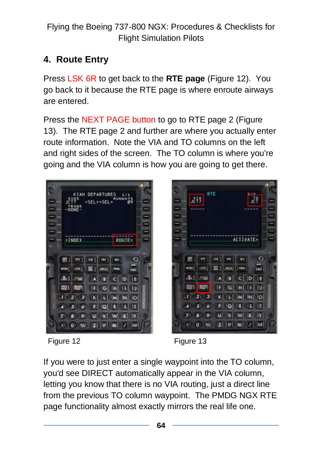## **4. Route Entry**

Press LSK 6R to get back to the **RTE page** (Figure 12). You go back to it because the RTE page is where enroute airways are entered.

Press the NEXT PAGE button to go to RTE page 2 (Figure 13). The RTE page 2 and further are where you actually enter route information. Note the VIA and TO columns on the left and right sides of the screen. The TO column is where you're going and the VIA column is how you are going to get there.



Figure 12 Figure 13

|   | RTE<br>野                                          |
|---|---------------------------------------------------|
| u | <b>ACTIVATE&gt;</b>                               |
|   | 謂<br>m<br><b>METRO</b><br><b>IDGS</b><br>w<br>ent |
|   | rai-<br>FILE<br>$C$ $D$<br>$A$ $B$<br>ΙE          |
|   | <b>1591</b><br>H                                  |
|   | $\circ$                                           |
|   | R<br>5<br>o.                                      |
|   | B                                                 |
|   | п<br>н                                            |

If you were to just enter a single waypoint into the TO column, you'd see DIRECT automatically appear in the VIA column, letting you know that there is no VIA routing, just a direct line from the previous TO column waypoint. The PMDG NGX RTE page functionality almost exactly mirrors the real life one.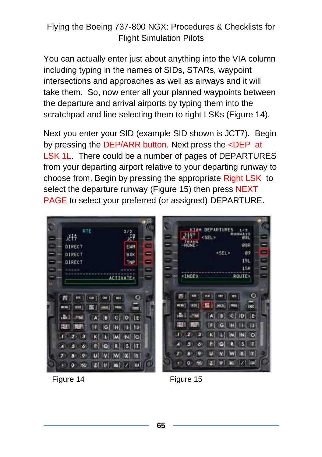You can actually enter just about anything into the VIA column including typing in the names of SIDs, STARs, waypoint intersections and approaches as well as airways and it will take them. So, now enter all your planned waypoints between the departure and arrival airports by typing them into the scratchpad and line selecting them to right LSKs (Figure 14).

Next you enter your SID (example SID shown is JCT7). Begin by pressing the DEP/ARR button. Next press the <DEP at LSK 1L. There could be a number of pages of DEPARTURES from your departing airport relative to your departing runway to choose from. Begin by pressing the appropriate Right LSK to select the departure runway (Figure 15) then press NEXT PAGE to select your preferred (or assigned) DEPARTURE.



Figure 14 Figure 15

 $-0.51 - 1.5$ 

m

 $|G|$ TH3

 $\bullet$ 収 15. lτ

M W. m W.

151

150

 $\bullet$ 

**B** 

 $|O|$ 

 $7104$ 

**ROUTE>** 

m

 $c$ [ $b$ ] lΕ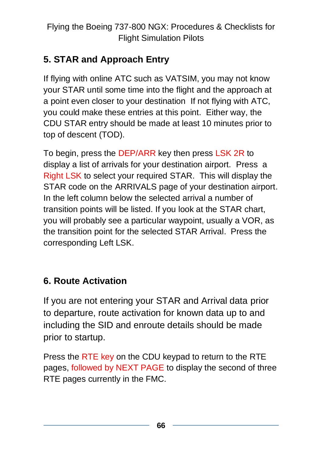## **5. STAR and Approach Entry**

If flying with online ATC such as VATSIM, you may not know your STAR until some time into the flight and the approach at a point even closer to your destination If not flying with ATC, you could make these entries at this point. Either way, the CDU STAR entry should be made at least 10 minutes prior to top of descent (TOD).

To begin, press the DEP/ARR key then press LSK 2R to display a list of arrivals for your destination airport. Press a Right LSK to select your required STAR. This will display the STAR code on the ARRIVALS page of your destination airport. In the left column below the selected arrival a number of transition points will be listed. If you look at the STAR chart, you will probably see a particular waypoint, usually a VOR, as the transition point for the selected STAR Arrival. Press the corresponding Left LSK.

## **6. Route Activation**

If you are not entering your STAR and Arrival data prior to departure, route activation for known data up to and including the SID and enroute details should be made prior to startup.

Press the RTE key on the CDU keypad to return to the RTE pages, followed by NEXT PAGE to display the second of three RTE pages currently in the FMC.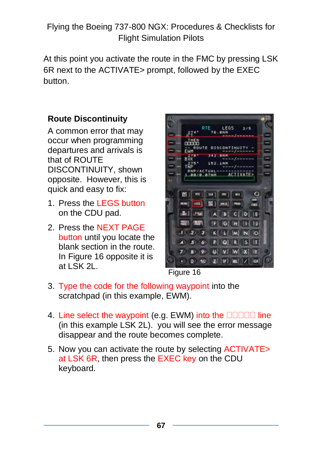At this point you activate the route in the FMC by pressing LSK 6R next to the ACTIVATE> prompt, followed by the EXEC button.

#### **Route Discontinuity**

A common error that may occur when programming departures and arrivals is that of ROUTE DISCONTINUITY, shown opposite. However, this is quick and easy to fix:

- 1. Press the LEGS button on the CDU pad.
- 2. Press the NEXT PAGE button until you locate the blank section in the route. In Figure 16 opposite it is at LSK  $2L$ .



Figure 16

- 3. Type the code for the following waypoint into the scratchpad (in this example, EWM).
- 4. Line select the waypoint (e.g. EWM) into the  $\square\square\square\square\square$  line (in this example LSK 2L). you will see the error message disappear and the route becomes complete.
- 5. Now you can activate the route by selecting ACTIVATE> at LSK 6R, then press the EXEC key on the CDU keyboard.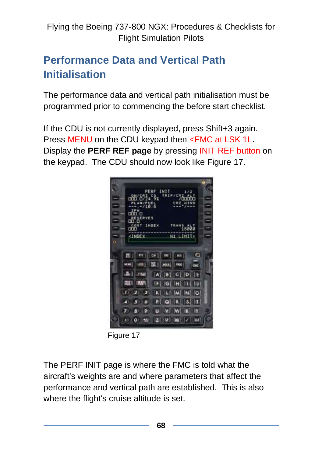# **Performance Data and Vertical Path Initialisation**

The performance data and vertical path initialisation must be programmed prior to commencing the before start checklist.

If the CDU is not currently displayed, press Shift+3 again. Press MENU on the CDU keypad then <FMC at LSK 1L. Display the **PERF REF page** by pressing INIT REF button on the keypad. The CDU should now look like Figure 17.



Figure 17

The PERF INIT page is where the FMC is told what the aircraft's weights are and where parameters that affect the performance and vertical path are established. This is also where the flight's cruise altitude is set.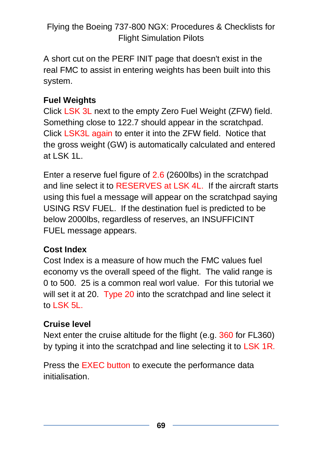A short cut on the PERF INIT page that doesn't exist in the real FMC to assist in entering weights has been built into this system.

### **Fuel Weights**

Click LSK 3L next to the empty Zero Fuel Weight (ZFW) field. Something close to 122.7 should appear in the scratchpad. Click LSK3L again to enter it into the ZFW field. Notice that the gross weight (GW) is automatically calculated and entered at  $L$  SK 1L.

Enter a reserve fuel figure of 2.6 (2600lbs) in the scratchpad and line select it to RESERVES at LSK 4L. If the aircraft starts using this fuel a message will appear on the scratchpad saying USING RSV FUEL. If the destination fuel is predicted to be below 2000lbs, regardless of reserves, an INSUFFICINT FUEL message appears.

### **Cost Index**

Cost Index is a measure of how much the FMC values fuel economy vs the overall speed of the flight. The valid range is 0 to 500. 25 is a common real worl value. For this tutorial we will set it at 20. Type 20 into the scratchpad and line select it to LSK 5L.

### **Cruise level**

Next enter the cruise altitude for the flight (e.g. 360 for FL360) by typing it into the scratchpad and line selecting it to LSK 1R.

Press the EXEC button to execute the performance data initialisation.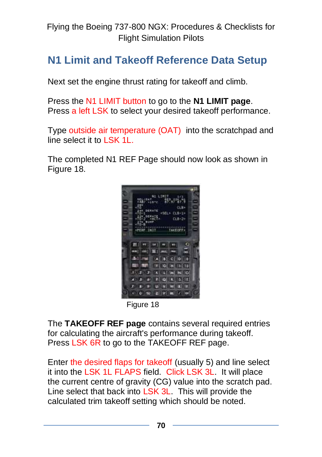# **N1 Limit and Takeoff Reference Data Setup**

Next set the engine thrust rating for takeoff and climb.

Press the N1 LIMIT button to go to the **N1 LIMIT page**. Press a left LSK to select your desired takeoff performance.

Type outside air temperature (OAT) into the scratchpad and line select it to LSK 1L.

The completed N1 REF Page should now look as shown in Figure 18.



Figure 18

The **TAKEOFF REF page** contains several required entries for calculating the aircraft's performance during takeoff. Press LSK 6R to go to the TAKEOFF REF page.

Enter the desired flaps for takeoff (usually 5) and line select it into the LSK 1L FLAPS field. Click LSK 3L. It will place the current centre of gravity (CG) value into the scratch pad. Line select that back into LSK 3L. This will provide the calculated trim takeoff setting which should be noted.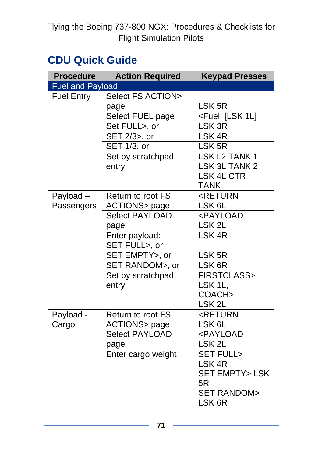# **CDU Quick Guide**

| <b>Procedure</b>        | <b>Action Required</b>  | <b>Keypad Presses</b>               |
|-------------------------|-------------------------|-------------------------------------|
| <b>Fuel and Payload</b> |                         |                                     |
| <b>Fuel Entry</b>       | Select FS ACTION>       |                                     |
|                         | page                    | LSK <sub>5R</sub>                   |
|                         | Select FUEL page        | <fuel 1l]<="" [lsk="" td=""></fuel> |
|                         | Set FULL>, or           | LSK 3R                              |
|                         | SET 2/3>, or            | LSK <sub>4R</sub>                   |
|                         | SET 1/3, or             | LSK <sub>5R</sub>                   |
|                         | Set by scratchpad       | LSK L2 TANK 1                       |
|                         | entry                   | LSK 3L TANK 2                       |
|                         |                         | <b>LSK 4L CTR</b>                   |
|                         |                         | <b>TANK</b>                         |
| Payload-                | Return to root FS       | <return< td=""></return<>           |
| Passengers              | <b>ACTIONS&gt; page</b> | LSK <sub>6L</sub>                   |
|                         | <b>Select PAYLOAD</b>   | <payload< td=""></payload<>         |
|                         | page                    | LSK <sub>2L</sub>                   |
|                         | Enter payload:          | LSK <sub>4R</sub>                   |
|                         | SET FULL>, or           |                                     |
|                         | SET EMPTY>, or          | LSK <sub>5R</sub>                   |
|                         | SET RANDOM>, or         | LSK 6R                              |
|                         | Set by scratchpad       | <b>FIRSTCLASS&gt;</b>               |
|                         | entry                   | LSK 1L,                             |
|                         |                         | COACH>                              |
|                         |                         | LSK <sub>2L</sub>                   |
| Payload -               | Return to root FS       | <return< td=""></return<>           |
| Cargo                   | ACTIONS> page           | LSK <sub>6L</sub>                   |
|                         | <b>Select PAYLOAD</b>   | <payload< td=""></payload<>         |
|                         | page                    | LSK <sub>2L</sub>                   |
|                         | Enter cargo weight      | SET FULL>                           |
|                         |                         | LSK <sub>4R</sub>                   |
|                         |                         | <b>SET EMPTY&gt; LSK</b>            |
|                         |                         | 5R                                  |
|                         |                         | <b>SET RANDOM&gt;</b>               |
|                         |                         | LSK <sub>6R</sub>                   |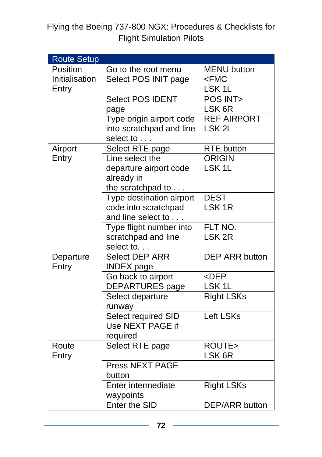| <b>Route Setup</b> |                               |                       |
|--------------------|-------------------------------|-----------------------|
| Position           | Go to the root menu           | <b>MENU button</b>    |
| Initialisation     | Select POS INIT page          | $<$ FMC               |
| Entry              |                               | LSK <sub>1L</sub>     |
|                    | <b>Select POS IDENT</b>       | POS INT>              |
|                    | page                          | LSK <sub>6R</sub>     |
|                    | Type origin airport code      | <b>REF AIRPORT</b>    |
|                    | into scratchpad and line      | LSK <sub>2L</sub>     |
|                    | select to                     |                       |
| Airport            | Select RTE page               | <b>RTE</b> button     |
| Entry              | Line select the               | <b>ORIGIN</b>         |
|                    | departure airport code        | LSK <sub>1L</sub>     |
|                    | already in                    |                       |
|                    | the scratchpad to             |                       |
|                    | Type destination airport      | <b>DEST</b>           |
|                    | code into scratchpad          | LSK <sub>1R</sub>     |
|                    | and line select to            |                       |
|                    | Type flight number into       | FLT NO.               |
|                    | scratchpad and line           | LSK <sub>2R</sub>     |
|                    | select to.                    |                       |
| Departure          | <b>Select DEP ARR</b>         | <b>DEP ARR button</b> |
| Entry              | <b>INDEX</b> page             | $<$ DEP               |
|                    | Go back to airport            | LSK <sub>1L</sub>     |
|                    | <b>DEPARTURES</b> page        |                       |
|                    | Select departure              | <b>Right LSKs</b>     |
|                    | runway<br>Select required SID | <b>Left LSKs</b>      |
|                    | Use NEXT PAGE if              |                       |
|                    | required                      |                       |
| Route              | Select RTE page               | ROUTE>                |
| Entry              |                               | LSK <sub>6R</sub>     |
|                    | <b>Press NEXT PAGE</b>        |                       |
|                    | button                        |                       |
|                    | Enter intermediate            | <b>Right LSKs</b>     |
|                    | waypoints                     |                       |
|                    | <b>Enter the SID</b>          | <b>DEP/ARR button</b> |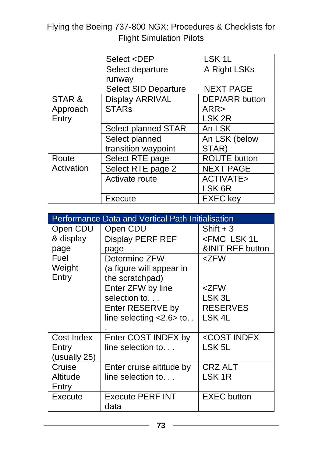|            | Select <dep< th=""><th>LSK<sub>1L</sub></th></dep<> | LSK <sub>1L</sub>     |
|------------|-----------------------------------------------------|-----------------------|
|            | Select departure                                    | A Right LSKs          |
|            | runway                                              |                       |
|            | <b>Select SID Departure</b>                         | <b>NEXT PAGE</b>      |
| STAR&      | Display ARRIVAL                                     | <b>DEP/ARR button</b> |
| Approach   | <b>STARs</b>                                        | ARR                   |
| Entry      |                                                     | LSK <sub>2R</sub>     |
|            | Select planned STAR                                 | An LSK                |
|            | Select planned                                      | An LSK (below         |
|            | transition waypoint                                 | STAR)                 |
| Route      | Select RTE page                                     | <b>ROUTE</b> button   |
| Activation | Select RTE page 2                                   | <b>NEXT PAGE</b>      |
|            | Activate route                                      | <b>ACTIVATE&gt;</b>   |
|            |                                                     | LSK <sub>6R</sub>     |
|            | Execute                                             | <b>EXEC</b> key       |

| Performance Data and Vertical Path Initialisation |                          |                                 |  |
|---------------------------------------------------|--------------------------|---------------------------------|--|
| Open CDU                                          | Open CDU                 | $Shift + 3$                     |  |
| & display                                         | <b>Display PERF REF</b>  | <fmc 1l<="" lsk="" td=""></fmc> |  |
| page                                              | page                     | &INIT REF button                |  |
| Fuel                                              | Determine ZFW            | <zfw< td=""></zfw<>             |  |
| Weight                                            | (a figure will appear in |                                 |  |
| Entry                                             | the scratchpad)          |                                 |  |
|                                                   | Enter ZFW by line        | <zfw< td=""></zfw<>             |  |
|                                                   | selection to.            | LSK <sub>3L</sub>               |  |
|                                                   | Enter RESERVE by         | <b>RESERVES</b>                 |  |
|                                                   | line selecting $<2.6$ to | LSK <sub>4L</sub>               |  |
|                                                   |                          |                                 |  |
| Cost Index                                        | Enter COST INDEX by      | <cost index<="" td=""></cost>   |  |
| Entry                                             | line selection to        | LSK 5L                          |  |
| (usually 25)                                      |                          |                                 |  |
| Cruise                                            | Enter cruise altitude by | <b>CRZ ALT</b>                  |  |
| Altitude                                          | line selection to        | LSK <sub>1R</sub>               |  |
| Entry                                             |                          |                                 |  |
| Execute                                           | <b>Execute PERF INT</b>  | <b>EXEC</b> button              |  |
|                                                   | data                     |                                 |  |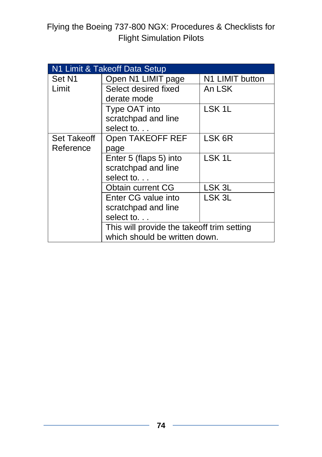| N1 Limit & Takeoff Data Setup |                                            |                   |  |
|-------------------------------|--------------------------------------------|-------------------|--|
| Set N1                        | Open N1 LIMIT page                         | N1 LIMIT button   |  |
| Limit                         | Select desired fixed                       | An LSK            |  |
|                               | derate mode                                |                   |  |
|                               | Type OAT into                              | LSK <sub>1L</sub> |  |
|                               | scratchpad and line                        |                   |  |
|                               | select to                                  |                   |  |
| <b>Set Takeoff</b>            | Open TAKEOFF REF                           | LSK 6R            |  |
| Reference                     | page                                       |                   |  |
|                               | Enter 5 (flaps 5) into                     | LSK <sub>1L</sub> |  |
|                               | scratchpad and line                        |                   |  |
|                               | select to.                                 |                   |  |
|                               | Obtain current CG                          | LSK <sub>3L</sub> |  |
|                               | Enter CG value into                        | LSK 3L            |  |
|                               | scratchpad and line                        |                   |  |
|                               | select to                                  |                   |  |
|                               | This will provide the takeoff trim setting |                   |  |
|                               | which should be written down.              |                   |  |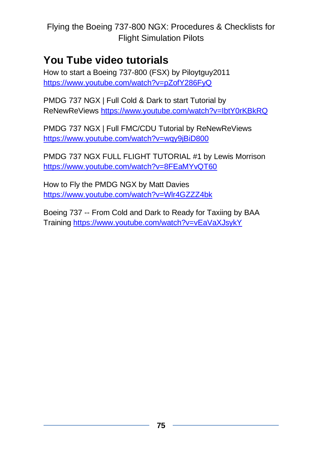### **You Tube video tutorials**

How to start a Boeing 737-800 (FSX) by Piloytguy2011 <https://www.youtube.com/watch?v=pZofY286FyQ>

PMDG 737 NGX | Full Cold & Dark to start Tutorial by ReNewReViews <https://www.youtube.com/watch?v=IbtY0rKBkRQ>

PMDG 737 NGX | Full FMC/CDU Tutorial by ReNewReViews <https://www.youtube.com/watch?v=wqy9jBiD800>

PMDG 737 NGX FULL FLIGHT TUTORIAL #1 by Lewis Morrison <https://www.youtube.com/watch?v=8FEaMYvQT60>

How to Fly the PMDG NGX by Matt Davies <https://www.youtube.com/watch?v=Wlr4GZZZ4bk>

Boeing 737 -- From Cold and Dark to Ready for Taxiing by BAA Training <https://www.youtube.com/watch?v=vEaVaXJsykY>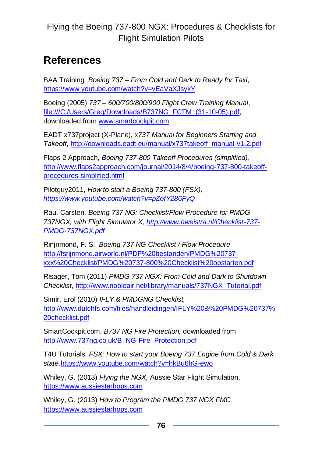#### **References**

BAA Training*, Boeing 737 – From Cold and Dark to Ready for Taxi*, <https://www.youtube.com/watch?v=vEaVaXJsykY>

Boeing (2005) *737 – 600/700/800/900 Flight Crew Training Manual*, [file:///C:/Users/Greg/Downloads/B737NG\\_FCTM\\_\(31-10-05\).pdf,](file:///C:/Users/Greg/Downloads/B737NG_FCTM_(31-10-05).pdf) downloaded from [www.smartcockpit.com](http://www.smartcockpit.com/)

EADT x737project (X-Plane), *x737 Manual for Beginners Starting and Takeoff*[, http://downloads.eadt.eu/manual/x737takeoff\\_manual-v1.2.pdf](http://downloads.eadt.eu/manual/x737takeoff_manual-v1.2.pdf)

Flaps 2 Approach, *Boeing 737-800 Takeoff Procedures (simplified)*, [http://www.flaps2approach.com/journal/2014/8/4/boeing-737-800-takeoff](http://www.flaps2approach.com/journal/2014/8/4/boeing-737-800-takeoff-procedures-simplified.html)[procedures-simplified.html](http://www.flaps2approach.com/journal/2014/8/4/boeing-737-800-takeoff-procedures-simplified.html)

Pilotguy2011, *How to start a Boeing 737-800 (FSX), <https://www.youtube.com/watch?v=pZofY286FyQ>*

Rau, Carsten, *Boeing 737 NG: Checklist/Flow Procedure for PMDG 737NGX, with Flight Simulator X[, http://www.hweistra.nl/Checklist-737-](http://www.hweistra.nl/Checklist-737-PMDG-737NGX.pdf) [PMDG-737NGX.pdf](http://www.hweistra.nl/Checklist-737-PMDG-737NGX.pdf)*

Rinjnmond, F. S., *Boeing 737 NG Checklist / Flow Procedure* [http://fsrijnmond.airworld.nl/PDF%20bestanden/PMDG%20737](http://fsrijnmond.airworld.nl/PDF%20bestanden/PMDG%20737-xxx%20Checklist/PMDG%20737-800%20Checklist%20opstarten.pdf) [xxx%20Checklist/PMDG%20737-800%20Checklist%20opstarten.pdf](http://fsrijnmond.airworld.nl/PDF%20bestanden/PMDG%20737-xxx%20Checklist/PMDG%20737-800%20Checklist%20opstarten.pdf)

Risager, Tom (2011) *PMDG 737 NGX: From Cold and Dark to Shutdown Checklist*, [http://www.nobleair.net/library/manuals/737NGX\\_Tutorial.pdf](http://www.nobleair.net/library/manuals/737NGX_Tutorial.pdf)

Simir, Erol (2010) *IFLY & PMDGNG Checklist,*  [http://www.dutchfs.com/files/handleidingen/IFLY%20&%20PMDG%20737%](http://www.dutchfs.com/files/handleidingen/IFLY%20&%20PMDG%20737%20checklist.pdf) [20checklist.pdf](http://www.dutchfs.com/files/handleidingen/IFLY%20&%20PMDG%20737%20checklist.pdf)

SmartCockpit.com, *B737 NG Fire Protection,* downloaded from [http://www.737ng.co.uk/B\\_NG-Fire\\_Protection.pdf](http://www.737ng.co.uk/B_NG-Fire_Protection.pdf)

T4U Tutorials, *FSX: How to start your Boeing 737 Engine from Cold & Dark state,*<https://www.youtube.com/watch?v=hkBu6hG-ewo>

Whiley, G. (2013) *Flying the NGX,* Aussie Star Flight Simulation, [https://www.aussiestarhops.com](https://www.aussiestarhops.com/)

Whiley, G. (2013) *How to Program the PMDG 737 NGX FMC* [https://www.aussiestarhops.com](https://www.aussiestarhops.com/)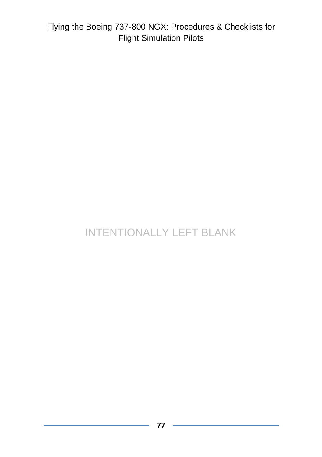# INTENTIONALLY LEFT BLANK